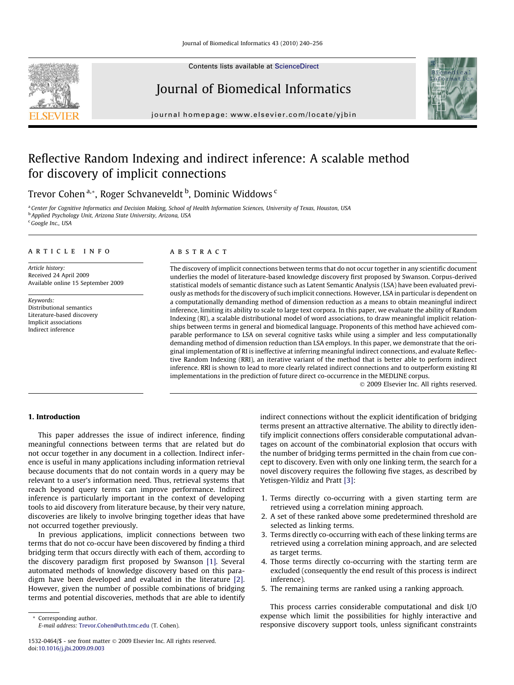Contents lists available at [ScienceDirect](http://www.sciencedirect.com/science/journal/15320464)



# Journal of Biomedical Informatics



journal homepage: [www.elsevier.com/locate/yjbin](http://www.elsevier.com/locate/yjbin)

# Reflective Random Indexing and indirect inference: A scalable method for discovery of implicit connections

Trevor Cohen <sup>a,</sup>\*, Roger Schvaneveldt <sup>b</sup>, Dominic Widdows <sup>c</sup>

a Center for Cognitive Informatics and Decision Making, School of Health Information Sciences, University of Texas, Houston, USA <sup>b</sup> Applied Psychology Unit, Arizona State University, Arizona, USA

<sup>c</sup> Google Inc., USA

# article info

Article history: Received 24 April 2009 Available online 15 September 2009

Keywords: Distributional semantics Literature-based discovery Implicit associations Indirect inference

#### **ABSTRACT**

The discovery of implicit connections between terms that do not occur together in any scientific document underlies the model of literature-based knowledge discovery first proposed by Swanson. Corpus-derived statistical models of semantic distance such as Latent Semantic Analysis (LSA) have been evaluated previously as methods for the discovery of such implicit connections. However, LSA in particular is dependent on a computationally demanding method of dimension reduction as a means to obtain meaningful indirect inference, limiting its ability to scale to large text corpora. In this paper, we evaluate the ability of Random Indexing (RI), a scalable distributional model of word associations, to draw meaningful implicit relationships between terms in general and biomedical language. Proponents of this method have achieved comparable performance to LSA on several cognitive tasks while using a simpler and less computationally demanding method of dimension reduction than LSA employs. In this paper, we demonstrate that the original implementation of RI is ineffective at inferring meaningful indirect connections, and evaluate Reflective Random Indexing (RRI), an iterative variant of the method that is better able to perform indirect inference. RRI is shown to lead to more clearly related indirect connections and to outperform existing RI implementations in the prediction of future direct co-occurrence in the MEDLINE corpus.

- 2009 Elsevier Inc. All rights reserved.

## 1. Introduction

This paper addresses the issue of indirect inference, finding meaningful connections between terms that are related but do not occur together in any document in a collection. Indirect inference is useful in many applications including information retrieval because documents that do not contain words in a query may be relevant to a user's information need. Thus, retrieval systems that reach beyond query terms can improve performance. Indirect inference is particularly important in the context of developing tools to aid discovery from literature because, by their very nature, discoveries are likely to involve bringing together ideas that have not occurred together previously.

In previous applications, implicit connections between two terms that do not co-occur have been discovered by finding a third bridging term that occurs directly with each of them, according to the discovery paradigm first proposed by Swanson [\[1\]](#page-16-0). Several automated methods of knowledge discovery based on this paradigm have been developed and evaluated in the literature [\[2\].](#page-16-0) However, given the number of possible combinations of bridging terms and potential discoveries, methods that are able to identify

\* Corresponding author. E-mail address: [Trevor.Cohen@uth.tmc.edu](mailto:Trevor.Cohen@uth.tmc.edu) (T. Cohen). indirect connections without the explicit identification of bridging terms present an attractive alternative. The ability to directly identify implicit connections offers considerable computational advantages on account of the combinatorial explosion that occurs with the number of bridging terms permitted in the chain from cue concept to discovery. Even with only one linking term, the search for a novel discovery requires the following five stages, as described by Yetisgen-Yildiz and Pratt [\[3\]](#page-16-0):

- 1. Terms directly co-occurring with a given starting term are retrieved using a correlation mining approach.
- 2. A set of these ranked above some predetermined threshold are selected as linking terms.
- 3. Terms directly co-occurring with each of these linking terms are retrieved using a correlation mining approach, and are selected as target terms.
- 4. Those terms directly co-occurring with the starting term are excluded (consequently the end result of this process is indirect inference).
- 5. The remaining terms are ranked using a ranking approach.

This process carries considerable computational and disk I/O expense which limit the possibilities for highly interactive and responsive discovery support tools, unless significant constraints

<sup>1532-0464/\$ -</sup> see front matter @ 2009 Elsevier Inc. All rights reserved. doi:[10.1016/j.jbi.2009.09.003](http://dx.doi.org/10.1016/j.jbi.2009.09.003)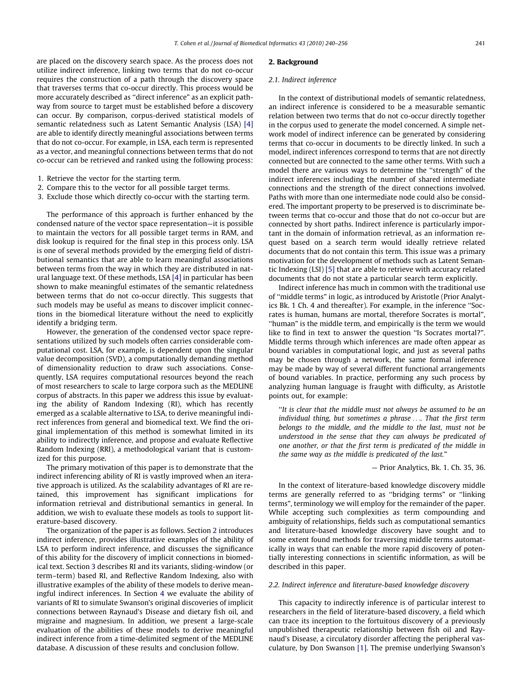are placed on the discovery search space. As the process does not utilize indirect inference, linking two terms that do not co-occur requires the construction of a path through the discovery space that traverses terms that co-occur directly. This process would be more accurately described as ''direct inference" as an explicit pathway from source to target must be established before a discovery can occur. By comparison, corpus-derived statistical models of semantic relatedness such as Latent Semantic Analysis (LSA) [\[4\]](#page-16-0) are able to identify directly meaningful associations between terms that do not co-occur. For example, in LSA, each term is represented as a vector, and meaningful connections between terms that do not co-occur can be retrieved and ranked using the following process:

- 1. Retrieve the vector for the starting term.
- 2. Compare this to the vector for all possible target terms.
- 3. Exclude those which directly co-occur with the starting term.

The performance of this approach is further enhanced by the condensed nature of the vector space representation—it is possible to maintain the vectors for all possible target terms in RAM, and disk lookup is required for the final step in this process only. LSA is one of several methods provided by the emerging field of distributional semantics that are able to learn meaningful associations between terms from the way in which they are distributed in natural language text. Of these methods, LSA [\[4\]](#page-16-0) in particular has been shown to make meaningful estimates of the semantic relatedness between terms that do not co-occur directly. This suggests that such models may be useful as means to discover implicit connections in the biomedical literature without the need to explicitly identify a bridging term.

However, the generation of the condensed vector space representations utilized by such models often carries considerable computational cost. LSA, for example, is dependent upon the singular value decomposition (SVD), a computationally demanding method of dimensionality reduction to draw such associations. Consequently, LSA requires computational resources beyond the reach of most researchers to scale to large corpora such as the MEDLINE corpus of abstracts. In this paper we address this issue by evaluating the ability of Random Indexing (RI), which has recently emerged as a scalable alternative to LSA, to derive meaningful indirect inferences from general and biomedical text. We find the original implementation of this method is somewhat limited in its ability to indirectly inference, and propose and evaluate Reflective Random Indexing (RRI), a methodological variant that is customized for this purpose.

The primary motivation of this paper is to demonstrate that the indirect inferencing ability of RI is vastly improved when an iterative approach is utilized. As the scalability advantages of RI are retained, this improvement has significant implications for information retrieval and distributional semantics in general. In addition, we wish to evaluate these models as tools to support literature-based discovery.

The organization of the paper is as follows. Section 2 introduces indirect inference, provides illustrative examples of the ability of LSA to perform indirect inference, and discusses the significance of this ability for the discovery of implicit connections in biomedical text. Section [3](#page-3-0) describes RI and its variants, sliding-window (or term–term) based RI, and Reflective Random Indexing, also with illustrative examples of the ability of these models to derive meaningful indirect inferences. In Section [4](#page-7-0) we evaluate the ability of variants of RI to simulate Swanson's original discoveries of implicit connections between Raynaud's Disease and dietary fish oil, and migraine and magnesium. In addition, we present a large-scale evaluation of the abilities of these models to derive meaningful indirect inference from a time-delimited segment of the MEDLINE database. A discussion of these results and conclusion follow.

# 2. Background

#### 2.1. Indirect inference

In the context of distributional models of semantic relatedness, an indirect inference is considered to be a measurable semantic relation between two terms that do not co-occur directly together in the corpus used to generate the model concerned. A simple network model of indirect inference can be generated by considering terms that co-occur in documents to be directly linked. In such a model, indirect inferences correspond to terms that are not directly connected but are connected to the same other terms. With such a model there are various ways to determine the ''strength" of the indirect inferences including the number of shared intermediate connections and the strength of the direct connections involved. Paths with more than one intermediate node could also be considered. The important property to be preserved is to discriminate between terms that co-occur and those that do not co-occur but are connected by short paths. Indirect inference is particularly important in the domain of information retrieval, as an information request based on a search term would ideally retrieve related documents that do not contain this term. This issue was a primary motivation for the development of methods such as Latent Semantic Indexing (LSI) [\[5\]](#page-16-0) that are able to retrieve with accuracy related documents that do not state a particular search term explicitly.

Indirect inference has much in common with the traditional use of ''middle terms" in logic, as introduced by Aristotle (Prior Analytics Bk. 1 Ch. 4 and thereafter). For example, in the inference ''Socrates is human, humans are mortal, therefore Socrates is mortal", ''human" is the middle term, and empirically is the term we would like to find in text to answer the question ''Is Socrates mortal?". Middle terms through which inferences are made often appear as bound variables in computational logic, and just as several paths may be chosen through a network, the same formal inference may be made by way of several different functional arrangements of bound variables. In practice, performing any such process by analyzing human language is fraught with difficulty, as Aristotle points out, for example:

''It is clear that the middle must not always be assumed to be an individual thing, but sometimes a phrase .... That the first term belongs to the middle, and the middle to the last, must not be understood in the sense that they can always be predicated of one another, or that the first term is predicated of the middle in the same way as the middle is predicated of the last."

— Prior Analytics, Bk. 1. Ch. 35, 36.

In the context of literature-based knowledge discovery middle terms are generally referred to as ''bridging terms" or ''linking terms", terminology we will employ for the remainder of the paper. While accepting such complexities as term compounding and ambiguity of relationships, fields such as computational semantics and literature-based knowledge discovery have sought and to some extent found methods for traversing middle terms automatically in ways that can enable the more rapid discovery of potentially interesting connections in scientific information, as will be described in this paper.

#### 2.2. Indirect inference and literature-based knowledge discovery

This capacity to indirectly inference is of particular interest to researchers in the field of literature-based discovery, a field which can trace its inception to the fortuitous discovery of a previously unpublished therapeutic relationship between fish oil and Raynaud's Disease, a circulatory disorder affecting the peripheral vasculature, by Don Swanson [\[1\].](#page-16-0) The premise underlying Swanson's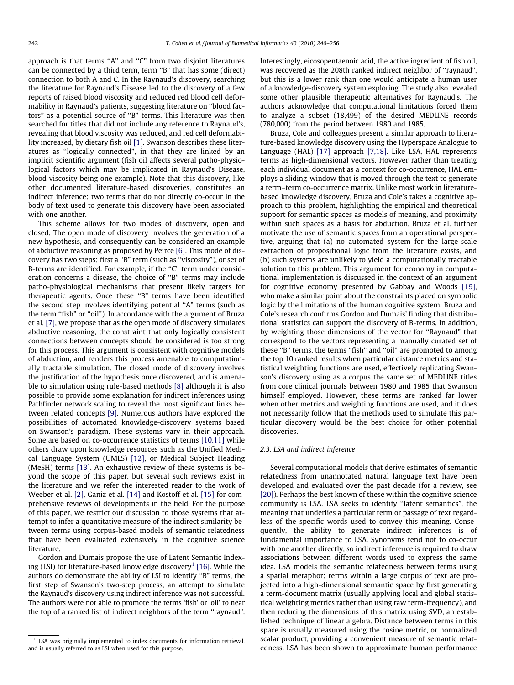approach is that terms ''A" and ''C" from two disjoint literatures can be connected by a third term, term ''B" that has some (direct) connection to both A and C. In the Raynaud's discovery, searching the literature for Raynaud's Disease led to the discovery of a few reports of raised blood viscosity and reduced red blood cell deformability in Raynaud's patients, suggesting literature on ''blood factors" as a potential source of ''B" terms. This literature was then searched for titles that did not include any reference to Raynaud's, revealing that blood viscosity was reduced, and red cell deformability increased, by dietary fish oil [\[1\].](#page-16-0) Swanson describes these literatures as ''logically connected", in that they are linked by an implicit scientific argument (fish oil affects several patho-physiological factors which may be implicated in Raynaud's Disease, blood viscosity being one example). Note that this discovery, like other documented literature-based discoveries, constitutes an indirect inference: two terms that do not directly co-occur in the body of text used to generate this discovery have been associated with one another.

This scheme allows for two modes of discovery, open and closed. The open mode of discovery involves the generation of a new hypothesis, and consequently can be considered an example of abductive reasoning as proposed by Peirce [\[6\].](#page-16-0) This mode of discovery has two steps: first a ''B" term (such as ''viscosity"), or set of B-terms are identified. For example, if the "C" term under consideration concerns a disease, the choice of ''B" terms may include patho-physiological mechanisms that present likely targets for therapeutic agents. Once these ''B" terms have been identified the second step involves identifying potential ''A" terms (such as the term "fish" or "oil"). In accordance with the argument of Bruza et al. [\[7\],](#page-16-0) we propose that as the open mode of discovery simulates abductive reasoning, the constraint that only logically consistent connections between concepts should be considered is too strong for this process. This argument is consistent with cognitive models of abduction, and renders this process amenable to computationally tractable simulation. The closed mode of discovery involves the justification of the hypothesis once discovered, and is amenable to simulation using rule-based methods [\[8\]](#page-16-0) although it is also possible to provide some explanation for indirect inferences using Pathfinder network scaling to reveal the most significant links between related concepts [\[9\].](#page-16-0) Numerous authors have explored the possibilities of automated knowledge-discovery systems based on Swanson's paradigm. These systems vary in their approach. Some are based on co-occurrence statistics of terms [\[10,11\]](#page-16-0) while others draw upon knowledge resources such as the Unified Medical Language System (UMLS) [\[12\]](#page-16-0), or Medical Subject Heading (MeSH) terms [\[13\]](#page-16-0). An exhaustive review of these systems is beyond the scope of this paper, but several such reviews exist in the literature and we refer the interested reader to the work of Weeber et al. [\[2\],](#page-16-0) Ganiz et al. [\[14\]](#page-16-0) and Kostoff et al. [\[15\]](#page-16-0) for comprehensive reviews of developments in the field. For the purpose of this paper, we restrict our discussion to those systems that attempt to infer a quantitative measure of the indirect similarity between terms using corpus-based models of semantic relatedness that have been evaluated extensively in the cognitive science literature.

Gordon and Dumais propose the use of Latent Semantic Index-ing (LSI) for literature-based knowledge discovery<sup>1</sup> [\[16\]](#page-16-0). While the authors do demonstrate the ability of LSI to identify ''B" terms, the first step of Swanson's two-step process, an attempt to simulate the Raynaud's discovery using indirect inference was not successful. The authors were not able to promote the terms 'fish' or 'oil' to near the top of a ranked list of indirect neighbors of the term ''raynaud". Interestingly, eicosopentaenoic acid, the active ingredient of fish oil, was recovered as the 208th ranked indirect neighbor of ''raynaud", but this is a lower rank than one would anticipate a human user of a knowledge-discovery system exploring. The study also revealed some other plausible therapeutic alternatives for Raynaud's. The authors acknowledge that computational limitations forced them to analyze a subset (18,499) of the desired MEDLINE records (780,000) from the period between 1980 and 1985.

Bruza, Cole and colleagues present a similar approach to literature-based knowledge discovery using the Hyperspace Analogue to Language (HAL) [\[17\]](#page-16-0) approach [\[7,18\]](#page-16-0). Like LSA, HAL represents terms as high-dimensional vectors. However rather than treating each individual document as a context for co-occurrence, HAL employs a sliding-window that is moved through the text to generate a term–term co-occurrence matrix. Unlike most work in literaturebased knowledge discovery, Bruza and Cole's takes a cognitive approach to this problem, highlighting the empirical and theoretical support for semantic spaces as models of meaning, and proximity within such spaces as a basis for abduction. Bruza et al. further motivate the use of semantic spaces from an operational perspective, arguing that (a) no automated system for the large-scale extraction of propositional logic from the literature exists, and (b) such systems are unlikely to yield a computationally tractable solution to this problem. This argument for economy in computational implementation is discussed in the context of an argument for cognitive economy presented by Gabbay and Woods [\[19\],](#page-16-0) who make a similar point about the constraints placed on symbolic logic by the limitations of the human cognitive system. Bruza and Cole's research confirms Gordon and Dumais' finding that distributional statistics can support the discovery of B-terms. In addition, by weighting those dimensions of the vector for ''Raynaud" that correspond to the vectors representing a manually curated set of these ''B" terms, the terms ''fish" and ''oil" are promoted to among the top 10 ranked results when particular distance metrics and statistical weighting functions are used, effectively replicating Swanson's discovery using as a corpus the same set of MEDLINE titles from core clinical journals between 1980 and 1985 that Swanson himself employed. However, these terms are ranked far lower when other metrics and weighting functions are used, and it does not necessarily follow that the methods used to simulate this particular discovery would be the best choice for other potential discoveries.

#### 2.3. LSA and indirect inference

Several computational models that derive estimates of semantic relatedness from unannotated natural language text have been developed and evaluated over the past decade (for a review, see [\[20\]](#page-16-0)). Perhaps the best known of these within the cognitive science community is LSA. LSA seeks to identify ''latent semantics", the meaning that underlies a particular term or passage of text regardless of the specific words used to convey this meaning. Consequently, the ability to generate indirect inferences is of fundamental importance to LSA. Synonyms tend not to co-occur with one another directly, so indirect inference is required to draw associations between different words used to express the same idea. LSA models the semantic relatedness between terms using a spatial metaphor: terms within a large corpus of text are projected into a high-dimensional semantic space by first generating a term-document matrix (usually applying local and global statistical weighting metrics rather than using raw term-frequency), and then reducing the dimensions of this matrix using SVD, an established technique of linear algebra. Distance between terms in this space is usually measured using the cosine metric, or normalized scalar product, providing a convenient measure of semantic relatedness. LSA has been shown to approximate human performance

 $1$  LSA was originally implemented to index documents for information retrieval, and is usually referred to as LSI when used for this purpose.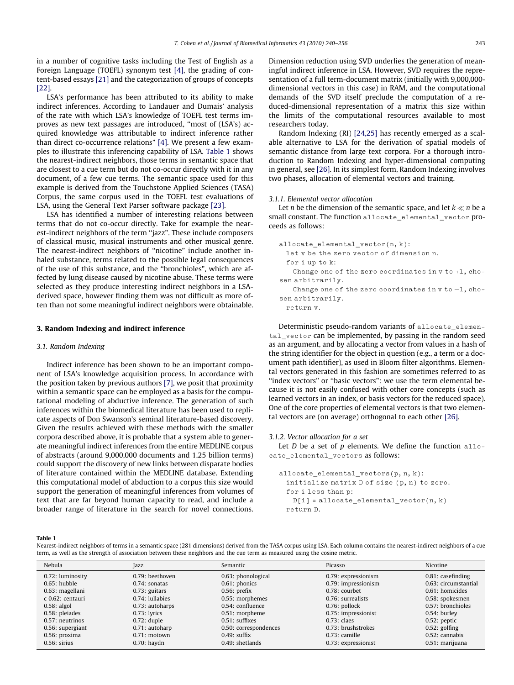<span id="page-3-0"></span>in a number of cognitive tasks including the Test of English as a Foreign Language (TOEFL) synonym test [\[4\],](#page-16-0) the grading of content-based essays [\[21\]](#page-16-0) and the categorization of groups of concepts [\[22\].](#page-16-0)

LSA's performance has been attributed to its ability to make indirect inferences. According to Landauer and Dumais' analysis of the rate with which LSA's knowledge of TOEFL test terms improves as new text passages are introduced, ''most of (LSA's) acquired knowledge was attributable to indirect inference rather than direct co-occurrence relations" [\[4\].](#page-16-0) We present a few examples to illustrate this inferencing capability of LSA. Table 1 shows the nearest-indirect neighbors, those terms in semantic space that are closest to a cue term but do not co-occur directly with it in any document, of a few cue terms. The semantic space used for this example is derived from the Touchstone Applied Sciences (TASA) Corpus, the same corpus used in the TOEFL test evaluations of LSA, using the General Text Parser software package [\[23\].](#page-16-0)

LSA has identified a number of interesting relations between terms that do not co-occur directly. Take for example the nearest-indirect neighbors of the term ''jazz". These include composers of classical music, musical instruments and other musical genre. The nearest-indirect neighbors of ''nicotine" include another inhaled substance, terms related to the possible legal consequences of the use of this substance, and the ''bronchioles", which are affected by lung disease caused by nicotine abuse. These terms were selected as they produce interesting indirect neighbors in a LSAderived space, however finding them was not difficult as more often than not some meaningful indirect neighbors were obtainable.

#### 3. Random Indexing and indirect inference

## 3.1. Random Indexing

Indirect inference has been shown to be an important component of LSA's knowledge acquisition process. In accordance with the position taken by previous authors [\[7\],](#page-16-0) we posit that proximity within a semantic space can be employed as a basis for the computational modeling of abductive inference. The generation of such inferences within the biomedical literature has been used to replicate aspects of Don Swanson's seminal literature-based discovery. Given the results achieved with these methods with the smaller corpora described above, it is probable that a system able to generate meaningful indirect inferences from the entire MEDLINE corpus of abstracts (around 9,000,000 documents and 1.25 billion terms) could support the discovery of new links between disparate bodies of literature contained within the MEDLINE database. Extending this computational model of abduction to a corpus this size would support the generation of meaningful inferences from volumes of text that are far beyond human capacity to read, and include a broader range of literature in the search for novel connections.

Dimension reduction using SVD underlies the generation of meaningful indirect inference in LSA. However, SVD requires the representation of a full term-document matrix (initially with 9,000,000 dimensional vectors in this case) in RAM, and the computational demands of the SVD itself preclude the computation of a reduced-dimensional representation of a matrix this size within the limits of the computational resources available to most researchers today.

Random Indexing (RI) [\[24,25\]](#page-16-0) has recently emerged as a scalable alternative to LSA for the derivation of spatial models of semantic distance from large text corpora. For a thorough introduction to Random Indexing and hyper-dimensional computing in general, see [\[26\]](#page-16-0). In its simplest form, Random Indexing involves two phases, allocation of elemental vectors and training.

# 3.1.1. Elemental vector allocation

Let  $n$  be the dimension of the semantic space, and let  $k \ll n$  be a small constant. The function allocate elemental vector proceeds as follows:

```
allocate_elemental_vector(n, k):
 let v be the zero vector of dimension n.
 for i up to k:
   Change one of the zero coordinates in v to +1, cho-
sen arbitrarily.
   Change one of the zero coordinates in v to -1, cho-
sen arbitrarily.
 return v.
```
Deterministic pseudo-random variants of allocate elemental\_vector can be implemented, by passing in the random seed as an argument, and by allocating a vector from values in a hash of the string identifier for the object in question (e.g., a term or a document path identifier), as used in Bloom filter algorithms. Elemental vectors generated in this fashion are sometimes referred to as ''index vectors" or ''basic vectors": we use the term elemental because it is not easily confused with other core concepts (such as learned vectors in an index, or basis vectors for the reduced space). One of the core properties of elemental vectors is that two elemental vectors are (on average) orthogonal to each other [\[26\].](#page-16-0)

#### 3.1.2. Vector allocation for a set

Let  $D$  be a set of  $p$  elements. We define the function allocate\_elemental\_vectors as follows:

```
allocate_elemental_vectors(p, n, k):
 initialize matrix D of size (p, n) to zero.
 for i less than p:
   D[i] = \text{allocate\_elemental\_vector}(n, k)return D.
```
Table 1

Nearest-indirect neighbors of terms in a semantic space (281 dimensions) derived from the TASA corpus using LSA. Each column contains the nearest-indirect neighbors of a cue term, as well as the strength of association between these neighbors and the cue term as measured using the cosine metric.

| Nebula           | Jazz             | Semantic              | Picasso             | Nicotine             |
|------------------|------------------|-----------------------|---------------------|----------------------|
| 0.72: luminosity | 0.79: beethoven  | 0.63: phonological    | 0.79: expressionism | $0.81$ : casefinding |
| $0.65$ : hubble  | $0.74$ : sonatas | $0.61$ : phonics      | 0.79: impressionism | 0.63: circumstantial |
| 0.63: magellani  | $0.73$ : guitars | $0.56$ : prefix       | $0.78:$ courbet     | 0.61: homicides      |
| c 0.62: centauri | 0.74: lullabies  | 0.55: morphemes       | 0.76: surrealists   | 0.58: spokesmen      |
| $0.58$ : algol   | 0.73: autoharps  | $0.54$ : confluence   | $0.76$ : pollock    | 0.57: bronchioles    |
| 0.58: pleiades   | $0.73$ : lyrics  | 0.51: morpheme        | 0.75: impressionist | $0.54$ : burley      |
| 0.57: neutrinos  | $0.72$ : duple   | $0.51:$ suffixes      | $0.73$ : claes      | $0.52$ : peptic      |
| 0.56: supergiant | 0.71: autoharp   | 0.50: correspondences | 0.73: brushstrokes  | $0.52$ : golfing     |
| 0.56: proxima    | $0.71:$ motown   | $0.49$ : suffix       | $0.73$ : camille    | $0.52$ : cannabis    |
| $0.56$ : sirius  | $0.70$ : haydn   | $0.49:$ shetlands     | 0.73: expressionist | 0.51: marijuana      |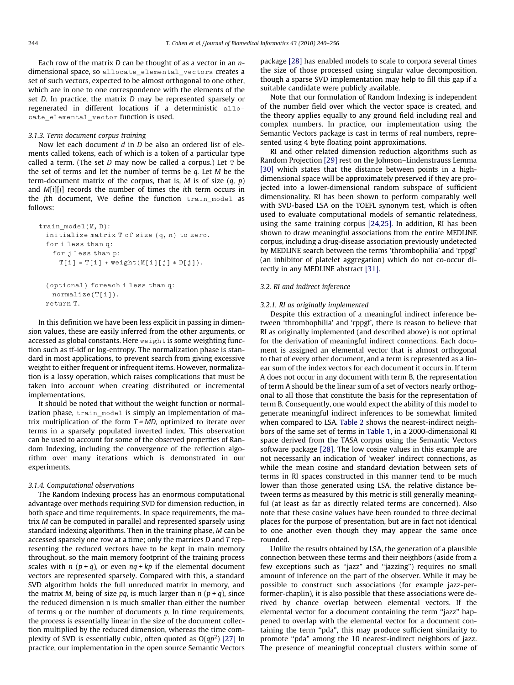Each row of the matrix  $D$  can be thought of as a vector in an  $n$ dimensional space, so allocate\_elemental\_vectors creates a set of such vectors, expected to be almost orthogonal to one other, which are in one to one correspondence with the elements of the set D. In practice, the matrix D may be represented sparsely or regenerated in different locations if a deterministic allocate\_elemental\_vector function is used.

#### 3.1.3. Term document corpus training

Now let each document d in  $\overline{D}$  be also an ordered list of elements called tokens, each of which is a token of a particular type called a term. (The set  $D$  may now be called a corpus.) Let  $T$  be the set of terms and let the number of terms be  $q$ . Let  $M$  be the term-document matrix of the corpus, that is, M is of size  $(q, p)$ and *M[i][j]* records the number of times the *i*th term occurs in the jth document, We define the function train model as follows:

```
train model(M, D):
  initialize matrix T of size (q, n) to zero.
  for i less than q:
     for j less than p:
       \mathbb{T}[\texttt{i}] = \mathbb{T}[\texttt{i}] + \texttt{weight}(\texttt{M}[\texttt{i}][j] * \texttt{D}[j]).(optional) foreach i less than q:
    normalize(T[i]).
  return T.
```
In this definition we have been less explicit in passing in dimension values, these are easily inferred from the other arguments, or accessed as global constants. Here weight is some weighting function such as tf-idf or log-entropy. The normalization phase is standard in most applications, to prevent search from giving excessive weight to either frequent or infrequent items. However, normalization is a lossy operation, which raises complications that must be taken into account when creating distributed or incremental implementations.

It should be noted that without the weight function or normalization phase, train\_model is simply an implementation of matrix multiplication of the form  $T = MD$ , optimized to iterate over terms in a sparsely populated inverted index. This observation can be used to account for some of the observed properties of Random Indexing, including the convergence of the reflection algorithm over many iterations which is demonstrated in our experiments.

## 3.1.4. Computational observations

The Random Indexing process has an enormous computational advantage over methods requiring SVD for dimension reduction, in both space and time requirements. In space requirements, the matrix M can be computed in parallel and represented sparsely using standard indexing algorithms. Then in the training phase, M can be accessed sparsely one row at a time; only the matrices D and T representing the reduced vectors have to be kept in main memory throughout, so the main memory footprint of the training process scales with  $n (p + q)$ , or even  $nq + kp$  if the elemental document vectors are represented sparsely. Compared with this, a standard SVD algorithm holds the full unreduced matrix in memory, and the matrix *M*, being of size pq, is much larger than  $n (p + q)$ , since the reduced dimension n is much smaller than either the number of terms  $q$  or the number of documents  $p$ . In time requirements, the process is essentially linear in the size of the document collection multiplied by the reduced dimension, whereas the time complexity of SVD is essentially cubic, often quoted as  $O(q p^2)$  [\[27\]](#page-16-0) In practice, our implementation in the open source Semantic Vectors package [\[28\]](#page-16-0) has enabled models to scale to corpora several times the size of those processed using singular value decomposition, though a sparse SVD implementation may help to fill this gap if a suitable candidate were publicly available.

Note that our formulation of Random Indexing is independent of the number field over which the vector space is created, and the theory applies equally to any ground field including real and complex numbers. In practice, our implementation using the Semantic Vectors package is cast in terms of real numbers, represented using 4 byte floating point approximations.

RI and other related dimension reduction algorithms such as Random Projection [\[29\]](#page-16-0) rest on the Johnson–Lindenstrauss Lemma [\[30\]](#page-16-0) which states that the distance between points in a highdimensional space will be approximately preserved if they are projected into a lower-dimensional random subspace of sufficient dimensionality. RI has been shown to perform comparably well with SVD-based LSA on the TOEFL synonym test, which is often used to evaluate computational models of semantic relatedness, using the same training corpus [\[24,25\].](#page-16-0) In addition, RI has been shown to draw meaningful associations from the entire MEDLINE corpus, including a drug-disease association previously undetected by MEDLINE search between the terms 'thrombophilia' and 'rppgf' (an inhibitor of platelet aggregation) which do not co-occur directly in any MEDLINE abstract [\[31\].](#page-16-0)

## 3.2. RI and indirect inference

# 3.2.1. RI as originally implemented

Despite this extraction of a meaningful indirect inference between 'thrombophilia' and 'rppgf', there is reason to believe that RI as originally implemented (and described above) is not optimal for the derivation of meaningful indirect connections. Each document is assigned an elemental vector that is almost orthogonal to that of every other document, and a term is represented as a linear sum of the index vectors for each document it occurs in. If term A does not occur in any document with term B, the representation of term A should be the linear sum of a set of vectors nearly orthogonal to all those that constitute the basis for the representation of term B. Consequently, one would expect the ability of this model to generate meaningful indirect inferences to be somewhat limited when compared to LSA. [Table 2](#page-5-0) shows the nearest-indirect neighbors of the same set of terms in [Table 1,](#page-3-0) in a 2000-dimensional RI space derived from the TASA corpus using the Semantic Vectors software package [\[28\]](#page-16-0). The low cosine values in this example are not necessarily an indication of 'weaker' indirect connections, as while the mean cosine and standard deviation between sets of terms in RI spaces constructed in this manner tend to be much lower than those generated using LSA, the relative distance between terms as measured by this metric is still generally meaningful (at least as far as directly related terms are concerned). Also note that these cosine values have been rounded to three decimal places for the purpose of presentation, but are in fact not identical to one another even though they may appear the same once rounded.

Unlike the results obtained by LSA, the generation of a plausible connection between these terms and their neighbors (aside from a few exceptions such as ''jazz" and ''jazzing") requires no small amount of inference on the part of the observer. While it may be possible to construct such associations (for example jazz-performer-chaplin), it is also possible that these associations were derived by chance overlap between elemental vectors. If the elemental vector for a document containing the term ''jazz" happened to overlap with the elemental vector for a document containing the term ''pda", this may produce sufficient similarity to promote ''pda" among the 10 nearest-indirect neighbors of jazz. The presence of meaningful conceptual clusters within some of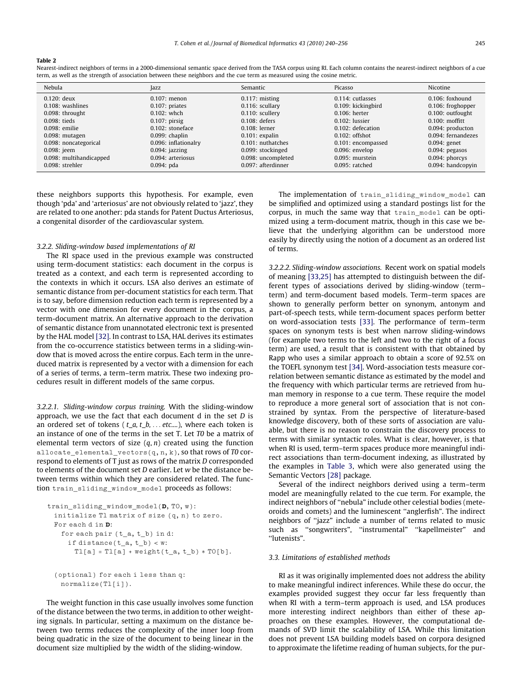<span id="page-5-0"></span>Nearest-indirect neighbors of terms in a 2000-dimensional semantic space derived from the TASA corpus using RI. Each column contains the nearest-indirect neighbors of a cue term, as well as the strength of association between these neighbors and the cue term as measured using the cosine metric.

| Nebula                  | Jazz                 | Semantic           | Picasso              | Nicotine           |
|-------------------------|----------------------|--------------------|----------------------|--------------------|
| $0.120:$ deux           | $0.107$ : menon      | $0.117$ : misting  | 0.114: cutlasses     | $0.106$ : foxhound |
| 0.108: washlines        | $0.107$ : priates    | 0.116: scullary    | 0.109: kickingbird   | 0.106: froghopper  |
| 0.098: throught         | $0.102$ : whch       | $0.110$ : scullery | $0.106$ : herter     | 0.100: outfought   |
| 0.098: tieds            | $0.107$ : pirsig     | $0.108$ : defers   | $0.102$ : lussier    | $0.100:$ moffitt   |
| 0.098: emilie           | $0.102$ : stoneface  | $0.108$ : lerner   | $0.102$ : defecation | 0.094: producton   |
| $0.098$ : mutagen       | $0.099$ : chaplin    | $0.101$ : expalin  | $0.102$ : offshot    | 0.094: fernandezes |
| 0.098: noncategorical   | 0.096: inflationalry | 0.101: nuthatches  | 0.101: encompassed   | $0.094$ : genet    |
| 0.098: jeem             | $0.094$ ; jazzing    | 0.099: stockinged  | $0.096$ : envelop    | $0.094$ ; pegasos  |
| 0.098: multihandicapped | 0.094: arteriosus    | 0.098: uncompleted | $0.095$ : murstein   | $0.094$ : phorcys  |
| 0.098: strehler         | $0.094$ : pda        | 0.097: afterdinner | $0.095:$ ratched     | 0.094: handcopyin  |

these neighbors supports this hypothesis. For example, even though 'pda' and 'arteriosus' are not obviously related to 'jazz', they are related to one another: pda stands for Patent Ductus Arteriosus, a congenital disorder of the cardiovascular system.

#### 3.2.2. Sliding-window based implementations of RI

The RI space used in the previous example was constructed using term-document statistics: each document in the corpus is treated as a context, and each term is represented according to the contexts in which it occurs. LSA also derives an estimate of semantic distance from per-document statistics for each term. That is to say, before dimension reduction each term is represented by a vector with one dimension for every document in the corpus, a term-document matrix. An alternative approach to the derivation of semantic distance from unannotated electronic text is presented by the HAL model [\[32\].](#page-16-0) In contrast to LSA, HAL derives its estimates from the co-occurrence statistics between terms in a sliding-window that is moved across the entire corpus. Each term in the unreduced matrix is represented by a vector with a dimension for each of a series of terms, a term–term matrix. These two indexing procedures result in different models of the same corpus.

3.2.2.1. Sliding-window corpus training. With the sliding-window approach, we use the fact that each document  $d$  in the set  $D$  is an ordered set of tokens ( $t_a, t_b, \ldots$  etc....), where each token is an instance of one of the terms in the set T. Let T0 be a matrix of elemental term vectors of size  $(q, n)$  created using the function allocate\_elemental\_vectors(q, n, k), so that rows of T0 correspond to elements of T just as rows of the matrix D corresponded to elements of the document set D earlier. Let w be the distance between terms within which they are considered related. The function train\_sliding\_window\_model proceeds as follows:

```
train_sliding_window_model(D, T0, w):
 initialize T1 matrix of size (q, n) to zero.
 For each d in D:
   for each pair (t_a, t_b) in d:
     if distance(t_a, t_b) < w:
      T1[a] = T1[a] + weight(t_a, t_b) * T0[b].
```

```
(optional) for each i less than q:
 normalize(T1[i]).
```
The weight function in this case usually involves some function of the distance between the two terms, in addition to other weighting signals. In particular, setting a maximum on the distance between two terms reduces the complexity of the inner loop from being quadratic in the size of the document to being linear in the document size multiplied by the width of the sliding-window.

The implementation of train\_sliding\_window\_model can be simplified and optimized using a standard postings list for the corpus, in much the same way that train\_model can be optimized using a term-document matrix, though in this case we believe that the underlying algorithm can be understood more easily by directly using the notion of a document as an ordered list of terms.

3.2.2.2. Sliding-window associations. Recent work on spatial models of meaning [\[33,25\]](#page-16-0) has attempted to distinguish between the different types of associations derived by sliding-window (term– term) and term-document based models. Term–term spaces are shown to generally perform better on synonym, antonym and part-of-speech tests, while term-document spaces perform better on word-association tests [\[33\].](#page-16-0) The performance of term–term spaces on synonym tests is best when narrow sliding-windows (for example two terms to the left and two to the right of a focus term) are used, a result that is consistent with that obtained by Rapp who uses a similar approach to obtain a score of 92.5% on the TOEFL synonym test [\[34\]](#page-16-0). Word-association tests measure correlation between semantic distance as estimated by the model and the frequency with which particular terms are retrieved from human memory in response to a cue term. These require the model to reproduce a more general sort of association that is not constrained by syntax. From the perspective of literature-based knowledge discovery, both of these sorts of association are valuable, but there is no reason to constrain the discovery process to terms with similar syntactic roles. What is clear, however, is that when RI is used, term–term spaces produce more meaningful indirect associations than term-document indexing, as illustrated by the examples in [Table 3,](#page-6-0) which were also generated using the Semantic Vectors [\[28\]](#page-16-0) package.

Several of the indirect neighbors derived using a term–term model are meaningfully related to the cue term. For example, the indirect neighbors of ''nebula" include other celestial bodies (meteoroids and comets) and the luminescent ''anglerfish". The indirect neighbors of ''jazz" include a number of terms related to music such as "songwriters", "instrumental" "kapellmeister" and ''lutenists".

# 3.3. Limitations of established methods

RI as it was originally implemented does not address the ability to make meaningful indirect inferences. While these do occur, the examples provided suggest they occur far less frequently than when RI with a term–term approach is used, and LSA produces more interesting indirect neighbors than either of these approaches on these examples. However, the computational demands of SVD limit the scalability of LSA. While this limitation does not prevent LSA building models based on corpora designed to approximate the lifetime reading of human subjects, for the pur-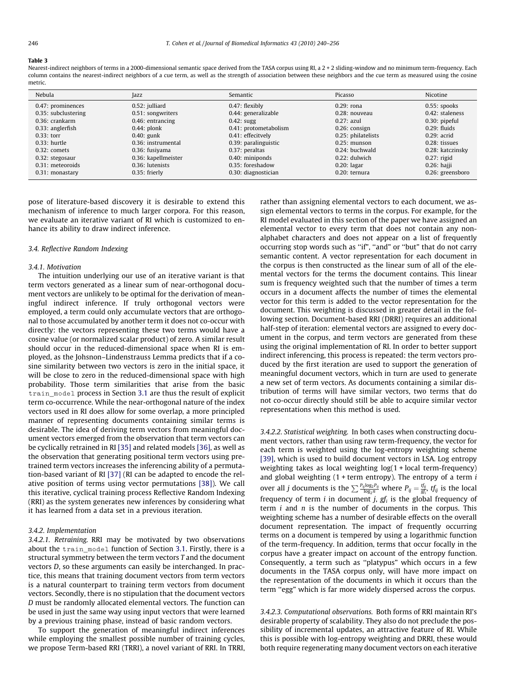<span id="page-6-0"></span>Nearest-indirect neighbors of terms in a 2000-dimensional semantic space derived from the TASA corpus using RI, a 2 + 2 sliding-window and no minimum term-frequency. Each column contains the nearest-indirect neighbors of a cue term, as well as the strength of association between these neighbors and the cue term as measured using the cosine metric.

| Nebula              | <b>azz</b>          | Semantic              | Picasso            | Nicotine           |
|---------------------|---------------------|-----------------------|--------------------|--------------------|
| 0.47: prominences   | 0.52: julliard      | $0.47$ : flexibly     | $0.29:$ rona       | $0.55$ : spooks    |
| 0.35: subclustering | 0.51: songwriters   | 0.44: generalizable   | $0.28:$ nouveau    | $0.42$ : staleness |
| 0.36: crankarm      | $0.46$ : entrancing | $0.42$ : sugg         | $0.27$ : azul      | $0.30$ : pipeful   |
| 0.33: anglerfish    | $0.44$ : plonk      | 0.41: protometabolism | $0.26$ : consign   | $0.29$ : fluids    |
| $0.33$ : torr       | $0.40$ : gunk       | 0.41: effecitvely     | 0.25: philatelists | $0.29:$ acrid      |
| $0.33$ : hurtle     | 0.36: instrumental  | 0.39: paralinguistic  | $0.25:$ munson     | $0.28:$ tissues    |
| $0.32$ : comets     | 0.36: fusiyama      | 0.37: peraltas        | $0.24$ : buchwald  | 0.28: katczinsky   |
| 0.32: stegosaur     | 0.36: kapellmeister | 0.40: miniponds       | $0.22$ : dulwich   | $0.27$ : rigid     |
| 0.31: meteoroids    | $0.36$ : lutenists  | $0.35$ : foreshadow   | $0.20$ : lagar     | $0.26$ : hajji     |
| $0.31$ : monastary  | $0.35$ : frierly    | 0.30: diagnostician   | $0.20$ : ternura   | 0.26: greensboro   |

pose of literature-based discovery it is desirable to extend this mechanism of inference to much larger corpora. For this reason, we evaluate an iterative variant of RI which is customized to enhance its ability to draw indirect inference.

#### 3.4. Reflective Random Indexing

#### 3.4.1. Motivation

The intuition underlying our use of an iterative variant is that term vectors generated as a linear sum of near-orthogonal document vectors are unlikely to be optimal for the derivation of meaningful indirect inference. If truly orthogonal vectors were employed, a term could only accumulate vectors that are orthogonal to those accumulated by another term it does not co-occur with directly: the vectors representing these two terms would have a cosine value (or normalized scalar product) of zero. A similar result should occur in the reduced-dimensional space when RI is employed, as the Johsnon–Lindenstrauss Lemma predicts that if a cosine similarity between two vectors is zero in the initial space, it will be close to zero in the reduced-dimensional space with high probability. Those term similarities that arise from the basic train\_model process in Section [3.1](#page-3-0) are thus the result of explicit term co-occurrence. While the near-orthogonal nature of the index vectors used in RI does allow for some overlap, a more principled manner of representing documents containing similar terms is desirable. The idea of deriving term vectors from meaningful document vectors emerged from the observation that term vectors can be cyclically retrained in RI [\[35\]](#page-16-0) and related models [\[36\],](#page-16-0) as well as the observation that generating positional term vectors using pretrained term vectors increases the inferencing ability of a permutation-based variant of RI [\[37\]](#page-16-0) (RI can be adapted to encode the relative position of terms using vector permutations [\[38\]\)](#page-16-0). We call this iterative, cyclical training process Reflective Random Indexing (RRI) as the system generates new inferences by considering what it has learned from a data set in a previous iteration.

#### 3.4.2. Implementation

3.4.2.1. Retraining. RRI may be motivated by two observations about the train\_model function of Section [3.1](#page-3-0). Firstly, there is a structural symmetry between the term vectors T and the document vectors D, so these arguments can easily be interchanged. In practice, this means that training document vectors from term vectors is a natural counterpart to training term vectors from document vectors. Secondly, there is no stipulation that the document vectors D must be randomly allocated elemental vectors. The function can be used in just the same way using input vectors that were learned by a previous training phase, instead of basic random vectors.

To support the generation of meaningful indirect inferences while employing the smallest possible number of training cycles, we propose Term-based RRI (TRRI), a novel variant of RRI. In TRRI, rather than assigning elemental vectors to each document, we assign elemental vectors to terms in the corpus. For example, for the RI model evaluated in this section of the paper we have assigned an elemental vector to every term that does not contain any nonalphabet characters and does not appear on a list of frequently occurring stop words such as ''if", ''and" or ''but" that do not carry semantic content. A vector representation for each document in the corpus is then constructed as the linear sum of all of the elemental vectors for the terms the document contains. This linear sum is frequency weighted such that the number of times a term occurs in a document affects the number of times the elemental vector for this term is added to the vector representation for the document. This weighting is discussed in greater detail in the following section. Document-based RRI (DRRI) requires an additional half-step of iteration: elemental vectors are assigned to every document in the corpus, and term vectors are generated from these using the original implementation of RI. In order to better support indirect inferencing, this process is repeated: the term vectors produced by the first iteration are used to support the generation of meaningful document vectors, which in turn are used to generate a new set of term vectors. As documents containing a similar distribution of terms will have similar vectors, two terms that do not co-occur directly should still be able to acquire similar vector representations when this method is used.

3.4.2.2. Statistical weighting. In both cases when constructing document vectors, rather than using raw term-frequency, the vector for each term is weighted using the log-entropy weighting scheme [\[39\]](#page-16-0), which is used to build document vectors in LSA. Log entropy weighting takes as local weighting log(1 + local term-frequency) and global weighting  $(1 + term$  entropy). The entropy of a term  $i$ over all *j* documents is the  $\sum \frac{P_{ij} \log_2 P_{ij}}{\log_2 n}$  where  $P_{ij} = \frac{tf_{ij}}{gf_i}$ ,  $tf_{ij}$  is the local frequency of term  $i$  in document  $j$ ,  $gf<sub>i</sub>$  is the global frequency of term  $i$  and  $n$  is the number of documents in the corpus. This weighting scheme has a number of desirable effects on the overall document representation. The impact of frequently occurring terms on a document is tempered by using a logarithmic function of the term-frequency. In addition, terms that occur focally in the corpus have a greater impact on account of the entropy function. Consequently, a term such as ''platypus" which occurs in a few documents in the TASA corpus only, will have more impact on the representation of the documents in which it occurs than the term ''egg" which is far more widely dispersed across the corpus.

3.4.2.3. Computational observations. Both forms of RRI maintain RI's desirable property of scalability. They also do not preclude the possibility of incremental updates, an attractive feature of RI. While this is possible with log-entropy weighting and DRRI, these would both require regenerating many document vectors on each iterative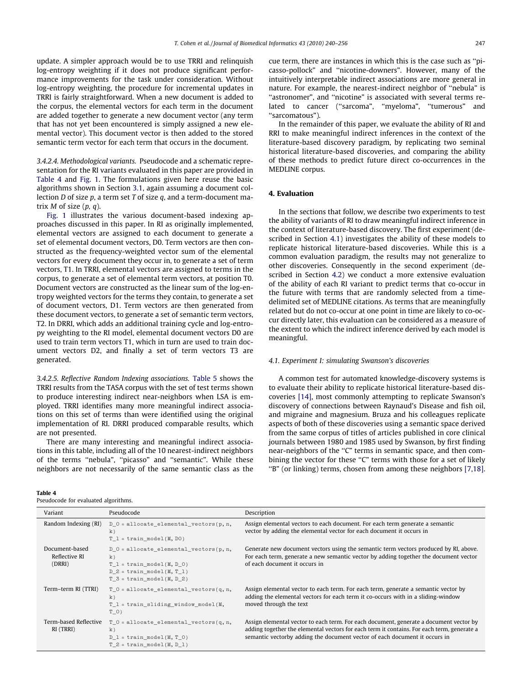<span id="page-7-0"></span>update. A simpler approach would be to use TRRI and relinquish log-entropy weighting if it does not produce significant performance improvements for the task under consideration. Without log-entropy weighting, the procedure for incremental updates in TRRI is fairly straightforward. When a new document is added to the corpus, the elemental vectors for each term in the document are added together to generate a new document vector (any term that has not yet been encountered is simply assigned a new elemental vector). This document vector is then added to the stored semantic term vector for each term that occurs in the document.

3.4.2.4. Methodological variants. Pseudocode and a schematic representation for the RI variants evaluated in this paper are provided in Table 4 and [Fig. 1](#page-8-0). The formulations given here reuse the basic algorithms shown in Section [3.1](#page-3-0), again assuming a document collection  $D$  of size  $p$ , a term set  $T$  of size  $q$ , and a term-document matrix  $M$  of size  $(p, q)$ .

[Fig. 1](#page-8-0) illustrates the various document-based indexing approaches discussed in this paper. In RI as originally implemented, elemental vectors are assigned to each document to generate a set of elemental document vectors, D0. Term vectors are then constructed as the frequency-weighted vector sum of the elemental vectors for every document they occur in, to generate a set of term vectors, T1. In TRRI, elemental vectors are assigned to terms in the corpus, to generate a set of elemental term vectors, at position T0. Document vectors are constructed as the linear sum of the log-entropy weighted vectors for the terms they contain, to generate a set of document vectors, D1. Term vectors are then generated from these document vectors, to generate a set of semantic term vectors, T2. In DRRI, which adds an additional training cycle and log-entropy weighting to the RI model, elemental document vectors D0 are used to train term vectors T1, which in turn are used to train document vectors D2, and finally a set of term vectors T3 are generated.

3.4.2.5. Reflective Random Indexing associations. [Table 5](#page-8-0) shows the TRRI results from the TASA corpus with the set of test terms shown to produce interesting indirect near-neighbors when LSA is employed. TRRI identifies many more meaningful indirect associations on this set of terms than were identified using the original implementation of RI. DRRI produced comparable results, which are not presented.

There are many interesting and meaningful indirect associations in this table, including all of the 10 nearest-indirect neighbors of the terms ''nebula", ''picasso" and ''semantic". While these neighbors are not necessarily of the same semantic class as the

#### Table 4

Pseudocode for evaluated algorithms.

cue term, there are instances in which this is the case such as ''picasso-pollock" and ''nicotine-downers". However, many of the intuitively interpretable indirect associations are more general in nature. For example, the nearest-indirect neighbor of ''nebula" is "astronomer", and "nicotine" is associated with several terms related to cancer ("sarcoma", "myeloma", "tumerous" and ''sarcomatous").

In the remainder of this paper, we evaluate the ability of RI and RRI to make meaningful indirect inferences in the context of the literature-based discovery paradigm, by replicating two seminal historical literature-based discoveries, and comparing the ability of these methods to predict future direct co-occurrences in the MEDLINE corpus.

#### 4. Evaluation

In the sections that follow, we describe two experiments to test the ability of variants of RI to draw meaningful indirect inference in the context of literature-based discovery. The first experiment (described in Section 4.1) investigates the ability of these models to replicate historical literature-based discoveries. While this is a common evaluation paradigm, the results may not generalize to other discoveries. Consequently in the second experiment (described in Section [4.2](#page-10-0)) we conduct a more extensive evaluation of the ability of each RI variant to predict terms that co-occur in the future with terms that are randomly selected from a timedelimited set of MEDLINE citations. As terms that are meaningfully related but do not co-occur at one point in time are likely to co-occur directly later, this evaluation can be considered as a measure of the extent to which the indirect inference derived by each model is meaningful.

#### 4.1. Experiment I: simulating Swanson's discoveries

A common test for automated knowledge-discovery systems is to evaluate their ability to replicate historical literature-based discoveries [\[14\]](#page-16-0), most commonly attempting to replicate Swanson's discovery of connections between Raynaud's Disease and fish oil, and migraine and magnesium. Bruza and his colleagues replicate aspects of both of these discoveries using a semantic space derived from the same corpus of titles of articles published in core clinical journals between 1980 and 1985 used by Swanson, by first finding near-neighbors of the "C" terms in semantic space, and then combining the vector for these "C" terms with those for a set of likely ''B" (or linking) terms, chosen from among these neighbors [\[7,18\].](#page-16-0)

| Variant                                   | Pseudocode                                                                                                                                  | Description                                                                                                                                                                                                                                                        |
|-------------------------------------------|---------------------------------------------------------------------------------------------------------------------------------------------|--------------------------------------------------------------------------------------------------------------------------------------------------------------------------------------------------------------------------------------------------------------------|
| Random Indexing (RI)                      | $D$ 0 = allocate elemental vectors(p, n,<br>k)<br>$T l = train model(M, D0)$                                                                | Assign elemental vectors to each document. For each term generate a semantic<br>vector by adding the elemental vector for each document it occurs in                                                                                                               |
| Document-based<br>Reflective RI<br>(DRRI) | $D$ 0 = allocate elemental vectors(p, n,<br>k)<br>$T l = train model(M, D 0)$<br>$D$ 2 = train model(M, T 1)<br>$T$ 3 = train model(M, D 2) | Generate new document vectors using the semantic term vectors produced by RI, above.<br>For each term, generate a new semantic vector by adding together the document vector<br>of each document it occurs in                                                      |
| Term-term RI (TTRI)                       | $T$ 0 = allocate elemental vectors(q, n,<br>k)<br>T 1 = train sliding window model(M,<br>T O)                                               | Assign elemental vector to each term. For each term, generate a semantic vector by<br>adding the elemental vectors for each term it co-occurs with in a sliding-window<br>moved through the text                                                                   |
| Term-based Reflective<br>RI (TRRI)        | $T_0 =$ allocate_elemental_vectors(q, n,<br>k)<br>$D_l = train model(M, T)$<br>$T$ 2 = train model(M, D 1)                                  | Assign elemental vector to each term. For each document, generate a document vector by<br>adding together the elemental vectors for each term it contains. For each term, generate a<br>semantic vectorby adding the document vector of each document it occurs in |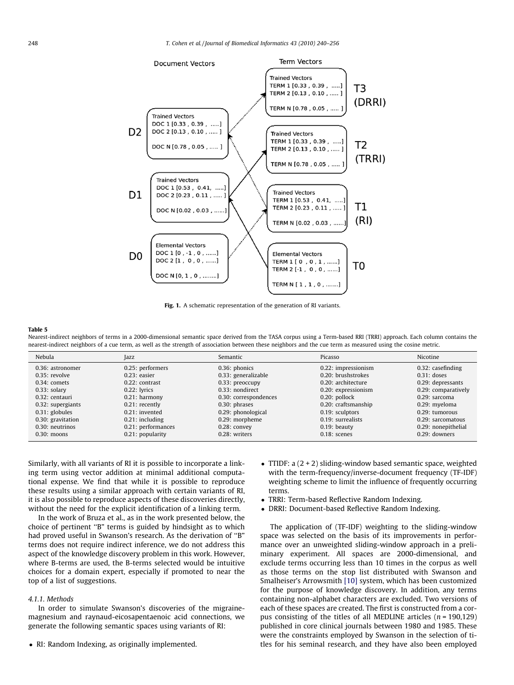<span id="page-8-0"></span>

Fig. 1. A schematic representation of the generation of RI variants.

Nearest-indirect neighbors of terms in a 2000-dimensional semantic space derived from the TASA corpus using a Term-based RRI (TRRI) approach. Each column contains the nearest-indirect neighbors of a cue term, as well as the strength of association between these neighbors and the cue term as measured using the cosine metric.

| Nebula             | Jazz               | Semantic              | Picasso              | Nicotine             |
|--------------------|--------------------|-----------------------|----------------------|----------------------|
| $0.36:$ astronomer | 0.25: performers   | $0.36$ : phonics      | 0.22: impressionism  | $0.32$ : casefinding |
| $0.35:$ revolve    | $0.23$ : easier    | 0.33: generalizable   | 0.20: brushstrokes   | $0.31:$ doses        |
| $0.34$ : comets    | $0.22$ : contrast  | 0.33: preoccupy       | 0.20: architecture   | 0.29: depressants    |
| $0.33$ : solary    | $0.22$ : lyrics    | $0.33$ : nondirect    | 0.20: expressionism  | 0.29: comparatively  |
| $0.32:$ centauri   | $0.21$ : harmony   | 0.30: correspondences | $0.20$ : pollock     | $0.29:$ sarcoma      |
| 0.32: supergiants  | $0.21$ : recently  | $0.30:$ phrases       | 0.20: craftsmanship  | 0.29: myeloma        |
| $0.31$ : globules  | $0.21$ : invented  | 0.29: phonological    | 0.19: sculptors      | $0.29:$ tumorous     |
| 0.30: gravitation  | $0.21$ : including | 0.29: morpheme        | $0.19$ : surrealists | $0.29:$ sarcomatous  |
| 0.30: neutrinos    | 0.21: performances | $0.28$ : convey       | $0.19$ : beauty      | 0.29: nonepithelial  |
| $0.30:$ moons      | 0.21: popularity   | 0.28: writers         | $0.18:$ scenes       | $0.29:$ downers      |
|                    |                    |                       |                      |                      |

Similarly, with all variants of RI it is possible to incorporate a linking term using vector addition at minimal additional computational expense. We find that while it is possible to reproduce these results using a similar approach with certain variants of RI, it is also possible to reproduce aspects of these discoveries directly, without the need for the explicit identification of a linking term.

In the work of Bruza et al., as in the work presented below, the choice of pertinent ''B" terms is guided by hindsight as to which had proved useful in Swanson's research. As the derivation of "B" terms does not require indirect inference, we do not address this aspect of the knowledge discovery problem in this work. However, where B-terms are used, the B-terms selected would be intuitive choices for a domain expert, especially if promoted to near the top of a list of suggestions.

# 4.1.1. Methods

In order to simulate Swanson's discoveries of the migrainemagnesium and raynaud-eicosapentaenoic acid connections, we generate the following semantic spaces using variants of RI:

• RI: Random Indexing, as originally implemented.

- TTIDF:  $a(2+2)$  sliding-window based semantic space, weighted with the term-frequency/inverse-document frequency (TF-IDF) weighting scheme to limit the influence of frequently occurring terms.
- TRRI: Term-based Reflective Random Indexing.
- DRRI: Document-based Reflective Random Indexing.

The application of (TF-IDF) weighting to the sliding-window space was selected on the basis of its improvements in performance over an unweighted sliding-window approach in a preliminary experiment. All spaces are 2000-dimensional, and exclude terms occurring less than 10 times in the corpus as well as those terms on the stop list distributed with Swanson and Smalheiser's Arrowsmith [\[10\]](#page-16-0) system, which has been customized for the purpose of knowledge discovery. In addition, any terms containing non-alphabet characters are excluded. Two versions of each of these spaces are created. The first is constructed from a corpus consisting of the titles of all MEDLINE articles  $(n = 190, 129)$ published in core clinical journals between 1980 and 1985. These were the constraints employed by Swanson in the selection of titles for his seminal research, and they have also been employed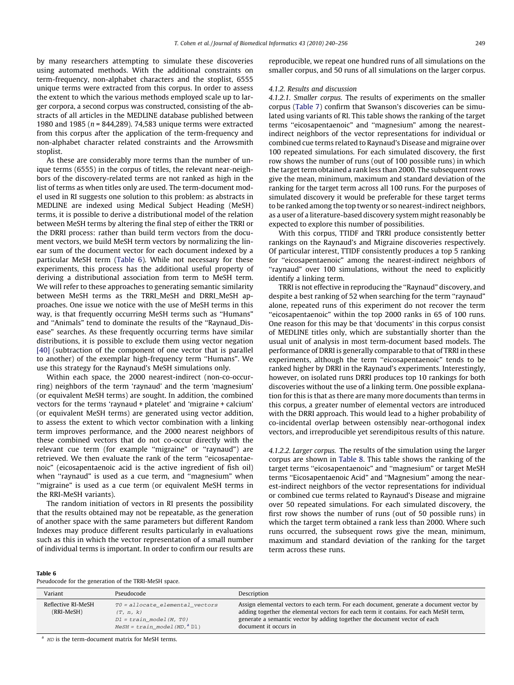by many researchers attempting to simulate these discoveries using automated methods. With the additional constraints on term-frequency, non-alphabet characters and the stoplist, 6555 unique terms were extracted from this corpus. In order to assess the extent to which the various methods employed scale up to larger corpora, a second corpus was constructed, consisting of the abstracts of all articles in the MEDLINE database published between 1980 and 1985 ( $n = 844,289$ ). 74,583 unique terms were extracted from this corpus after the application of the term-frequency and non-alphabet character related constraints and the Arrowsmith stoplist.

As these are considerably more terms than the number of unique terms (6555) in the corpus of titles, the relevant near-neighbors of the discovery-related terms are not ranked as high in the list of terms as when titles only are used. The term-document model used in RI suggests one solution to this problem: as abstracts in MEDLINE are indexed using Medical Subject Heading (MeSH) terms, it is possible to derive a distributional model of the relation between MeSH terms by altering the final step of either the TRRI or the DRRI process: rather than build term vectors from the document vectors, we build MeSH term vectors by normalizing the linear sum of the document vector for each document indexed by a particular MeSH term (Table 6). While not necessary for these experiments, this process has the additional useful property of deriving a distributional association from term to MeSH term. We will refer to these approaches to generating semantic similarity between MeSH terms as the TRRI\_MeSH and DRRI\_MeSH approaches. One issue we notice with the use of MeSH terms in this way, is that frequently occurring MeSH terms such as ''Humans" and ''Animals" tend to dominate the results of the ''Raynaud\_Disease" searches. As these frequently occurring terms have similar distributions, it is possible to exclude them using vector negation [\[40\]](#page-16-0) (subtraction of the component of one vector that is parallel to another) of the exemplar high-frequency term ''Humans". We use this strategy for the Raynaud's MeSH simulations only.

Within each space, the 2000 nearest-indirect (non-co-occurring) neighbors of the term 'raynaud' and the term 'magnesium' (or equivalent MeSH terms) are sought. In addition, the combined vectors for the terms 'raynaud + platelet' and 'migraine + calcium' (or equivalent MeSH terms) are generated using vector addition, to assess the extent to which vector combination with a linking term improves performance, and the 2000 nearest neighbors of these combined vectors that do not co-occur directly with the relevant cue term (for example "migraine" or "raynaud") are retrieved. We then evaluate the rank of the term ''eicosapentaenoic" (eicosapentaenoic acid is the active ingredient of fish oil) when "raynaud" is used as a cue term, and "magnesium" when "migraine" is used as a cue term (or equivalent MeSH terms in the RRI-MeSH variants).

The random initiation of vectors in RI presents the possibility that the results obtained may not be repeatable, as the generation of another space with the same parameters but different Random Indexes may produce different results particularly in evaluations such as this in which the vector representation of a small number of individual terms is important. In order to confirm our results are reproducible, we repeat one hundred runs of all simulations on the smaller corpus, and 50 runs of all simulations on the larger corpus.

#### 4.1.2. Results and discussion

4.1.2.1. Smaller corpus. The results of experiments on the smaller corpus ([Table 7](#page-10-0)) confirm that Swanson's discoveries can be simulated using variants of RI. This table shows the ranking of the target terms ''eicosapentaenoic" and ''magnesium" among the nearestindirect neighbors of the vector representations for individual or combined cue terms related to Raynaud's Disease and migraine over 100 repeated simulations. For each simulated discovery, the first row shows the number of runs (out of 100 possible runs) in which the target term obtained a rank less than 2000. The subsequent rows give the mean, minimum, maximum and standard deviation of the ranking for the target term across all 100 runs. For the purposes of simulated discovery it would be preferable for these target terms to be ranked among the top twenty or so nearest-indirect neighbors, as a user of a literature-based discovery system might reasonably be expected to explore this number of possibilities.

With this corpus, TTIDF and TRRI produce consistently better rankings on the Raynaud's and Migraine discoveries respectively. Of particular interest, TTIDF consistently produces a top 5 ranking for ''eicosapentaenoic" among the nearest-indirect neighbors of ''raynaud" over 100 simulations, without the need to explicitly identify a linking term.

TRRI is not effective in reproducing the ''Raynaud" discovery, and despite a best ranking of 52 when searching for the term ''raynaud" alone, repeated runs of this experiment do not recover the term "eicosapentaenoic" within the top 2000 ranks in 65 of 100 runs. One reason for this may be that 'documents' in this corpus consist of MEDLINE titles only, which are substantially shorter than the usual unit of analysis in most term-document based models. The performance of DRRI is generally comparable to that of TRRI in these experiments, although the term ''eicosapentaenoic" tends to be ranked higher by DRRI in the Raynaud's experiments. Interestingly, however, on isolated runs DRRI produces top 10 rankings for both discoveries without the use of a linking term. One possible explanation for this is that as there are many more documents than terms in this corpus, a greater number of elemental vectors are introduced with the DRRI approach. This would lead to a higher probability of co-incidental overlap between ostensibly near-orthogonal index vectors, and irreproducible yet serendipitous results of this nature.

4.1.2.2. Larger corpus. The results of the simulation using the larger corpus are shown in [Table 8](#page-10-0). This table shows the ranking of the target terms ''eicosapentaenoic" and ''magnesium" or target MeSH terms ''Eicosapentaenoic Acid" and ''Magnesium" among the nearest-indirect neighbors of the vector representations for individual or combined cue terms related to Raynaud's Disease and migraine over 50 repeated simulations. For each simulated discovery, the first row shows the number of runs (out of 50 possible runs) in which the target term obtained a rank less than 2000. Where such runs occurred, the subsequent rows give the mean, minimum, maximum and standard deviation of the ranking for the target term across these runs.

#### Table 6

Pseudocode for the generation of the TRRI-MeSH space.

| Variant                          | Pseudocode                                                                                                       | Description                                                                                                                                                                                                                                                                           |
|----------------------------------|------------------------------------------------------------------------------------------------------------------|---------------------------------------------------------------------------------------------------------------------------------------------------------------------------------------------------------------------------------------------------------------------------------------|
| Reflective RI-MeSH<br>(RRI-MeSH) | $T0 =$ allocate elemental vectors<br>(T, n, k)<br>$D1 = train model(M, T0)$<br>$MeSH = train \ model (MD, a DI)$ | Assign elemental vectors to each term. For each document, generate a document vector by<br>adding together the elemental vectors for each term it contains. For each MeSH term,<br>generate a semantic vector by adding together the document vector of each<br>document it occurs in |

 $^{\text{a}}$  *MD* is the term-document matrix for MeSH terms.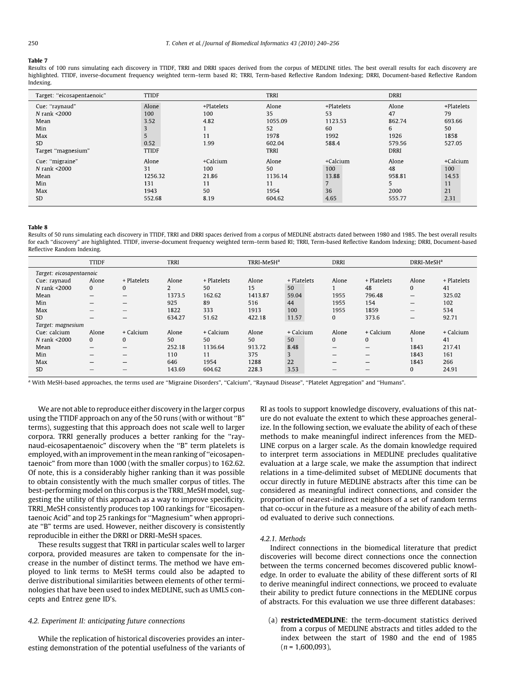<span id="page-10-0"></span>Results of 100 runs simulating each discovery in TTIDF, TRRI and DRRI spaces derived from the corpus of MEDLINE titles. The best overall results for each discovery are highlighted. TTIDF, inverse-document frequency weighted term-term based RI; TRRI, Term-based Reflective Random Indexing; DRRI, Document-based Reflective Random Indexing.

| Target: "eicosapentaenoic" | <b>TTIDF</b> |            | <b>TRRI</b> |            | <b>DRRI</b> |            |
|----------------------------|--------------|------------|-------------|------------|-------------|------------|
| Cue: "raynaud"             | Alone        | +Platelets | Alone       | +Platelets | Alone       | +Platelets |
| N rank <2000               | 100          | 100        | 35          | 53         | 47          | 79         |
| Mean                       | 3.52         | 4.82       | 1055.09     | 1123.53    | 862.74      | 693.66     |
| Min                        |              |            | 52          | 60         | 6           | 50         |
| Max                        | 5            | 11         | 1978        | 1992       | 1926        | 1858       |
| <b>SD</b>                  | 0.52         | 1.99       | 602.04      | 588.4      | 579.56      | 527.05     |
| Target "magnesium"         | <b>TTIDF</b> |            | <b>TRRI</b> |            | <b>DRRI</b> |            |
| Cue: "migraine"            | Alone        | +Calcium   | Alone       | +Calcium   | Alone       | +Calcium   |
| N rank <2000               | 31           | 100        | 50          | 100        | 48          | 100        |
| Mean                       | 1256.32      | 21.86      | 1136.14     | 13.88      | 958.81      | 14.53      |
| Min                        | 131          | 11         | 11          | 7          | 5           | 11         |
| Max                        | 1943         | 50         | 1954        | 36         | 2000        | 21         |
| <b>SD</b>                  | 552.68       | 8.19       | 604.62      | 4.65       | 555.77      | 2.31       |

#### Table 8

Results of 50 runs simulating each discovery in TTIDF, TRRI and DRRI spaces derived from a corpus of MEDLINE abstracts dated between 1980 and 1985. The best overall results for each ''discovery" are highlighted. TTIDF, inverse-document frequency weighted term–term based RI; TRRI, Term-based Reflective Random Indexing; DRRI, Document-based Reflective Random Indexing.

|                          | <b>TTIDF</b>             |                          | <b>TRRI</b> |             | TRRI-MeSH <sup>a</sup> |             | <b>DRRI</b>              |                          | DRRI-MeSH <sup>a</sup>         |             |
|--------------------------|--------------------------|--------------------------|-------------|-------------|------------------------|-------------|--------------------------|--------------------------|--------------------------------|-------------|
| Target: eicosapentaenoic |                          |                          |             |             |                        |             |                          |                          |                                |             |
| Cue: raynaud             | Alone                    | + Platelets              | Alone       | + Platelets | Alone                  | + Platelets | Alone                    | + Platelets              | Alone                          | + Platelets |
| N rank <2000             | $\mathbf{0}$             | $\Omega$                 | 2           | 50          | 15                     | 50          |                          | 48                       | $\mathbf{0}$                   | 41          |
| Mean                     |                          | $\overline{\phantom{0}}$ | 1373.5      | 162.62      | 1413.87                | 59.04       | 1955                     | 796.48                   |                                | 325.02      |
| Min                      |                          |                          | 925         | 89          | 516                    | 44          | 1955                     | 154                      |                                | 102         |
| Max                      | $\overline{\phantom{a}}$ |                          | 1822        | 333         | 1913                   | 100         | 1955                     | 1859                     | $\qquad \qquad \longleftarrow$ | 534         |
| <b>SD</b>                |                          | -                        | 634.27      | 51.62       | 422.18                 | 11.57       | 0                        | 373.6                    | $\qquad \qquad \longleftarrow$ | 92.71       |
| Target: magnesium        |                          |                          |             |             |                        |             |                          |                          |                                |             |
| Cue: calcium             | Alone                    | + Calcium                | Alone       | + Calcium   | Alone                  | + Calcium   | Alone                    | + Calcium                | Alone                          | + Calcium   |
| N rank <2000             | $\mathbf{0}$             | 0                        | 50          | 50          | 50                     | 50          | 0                        | $\overline{0}$           |                                | 41          |
| Mean                     |                          |                          | 252.18      | 1136.64     | 913.72                 | 8.48        | $\overline{\phantom{0}}$ | $\qquad \qquad -$        | 1843                           | 217.41      |
| Min                      |                          | -                        | 110         | 11          | 375                    | 3           |                          |                          | 1843                           | 161         |
| Max                      | $\overline{\phantom{a}}$ | -                        | 646         | 1954        | 1288                   | 22          | -                        | $\overline{\phantom{a}}$ | 1843                           | 266         |
| SD                       |                          | -                        | 143.69      | 604.62      | 228.3                  | 3.53        | -                        |                          | $\mathbf{0}$                   | 24.91       |
|                          |                          |                          |             |             |                        |             |                          |                          |                                |             |

a With MeSH-based approaches, the terms used are "Migraine Disorders", "Calcium", "Raynaud Disease", "Platelet Aggregation" and "Humans".

We are not able to reproduce either discovery in the larger corpus using the TTIDF approach on any of the 50 runs (with or without ''B" terms), suggesting that this approach does not scale well to larger corpora. TRRI generally produces a better ranking for the ''raynaud-eicosapentaenoic" discovery when the ''B" term platelets is employed, with an improvement in the mean ranking of ''eicosapentaenoic" from more than 1000 (with the smaller corpus) to 162.62. Of note, this is a considerably higher ranking than it was possible to obtain consistently with the much smaller corpus of titles. The best-performing model on this corpus is the TRRI\_MeSH model, suggesting the utility of this approach as a way to improve specificity. TRRI\_MeSH consistently produces top 100 rankings for ''Eicosapentaenoic Acid" and top 25 rankings for ''Magnesium" when appropriate ''B" terms are used. However, neither discovery is consistently reproducible in either the DRRI or DRRI-MeSH spaces.

These results suggest that TRRI in particular scales well to larger corpora, provided measures are taken to compensate for the increase in the number of distinct terms. The method we have employed to link terms to MeSH terms could also be adapted to derive distributional similarities between elements of other terminologies that have been used to index MEDLINE, such as UMLS concepts and Entrez gene ID's.

# 4.2. Experiment II: anticipating future connections

While the replication of historical discoveries provides an interesting demonstration of the potential usefulness of the variants of RI as tools to support knowledge discovery, evaluations of this nature do not evaluate the extent to which these approaches generalize. In the following section, we evaluate the ability of each of these methods to make meaningful indirect inferences from the MED-LINE corpus on a larger scale. As the domain knowledge required to interpret term associations in MEDLINE precludes qualitative evaluation at a large scale, we make the assumption that indirect relations in a time-delimited subset of MEDLINE documents that occur directly in future MEDLINE abstracts after this time can be considered as meaningful indirect connections, and consider the proportion of nearest-indirect neighbors of a set of random terms that co-occur in the future as a measure of the ability of each method evaluated to derive such connections.

#### 4.2.1. Methods

Indirect connections in the biomedical literature that predict discoveries will become direct connections once the connection between the terms concerned becomes discovered public knowledge. In order to evaluate the ability of these different sorts of RI to derive meaningful indirect connections, we proceed to evaluate their ability to predict future connections in the MEDLINE corpus of abstracts. For this evaluation we use three different databases:

(a) restrictedMEDLINE: the term-document statistics derived from a corpus of MEDLINE abstracts and titles added to the index between the start of 1980 and the end of 1985  $(n = 1,600,093)$ ,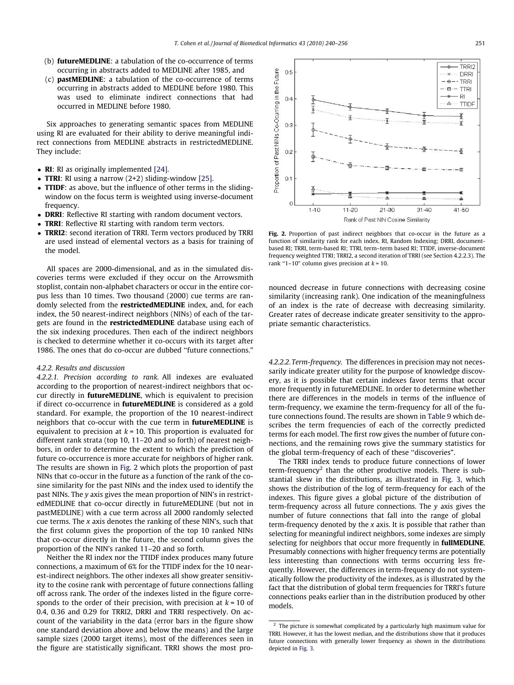- <span id="page-11-0"></span>(b) futureMEDLINE: a tabulation of the co-occurrence of terms occurring in abstracts added to MEDLINE after 1985, and
- (c) pastMEDLINE: a tabulation of the co-occurrence of terms occurring in abstracts added to MEDLINE before 1980. This was used to eliminate indirect connections that had occurred in MEDLINE before 1980.

Six approaches to generating semantic spaces from MEDLINE using RI are evaluated for their ability to derive meaningful indirect connections from MEDLINE abstracts in restrictedMEDLINE. They include:

- RI: RI as originally implemented [\[24\]](#page-16-0).
- TTRI: RI using a narrow  $(2+2)$  sliding-window [\[25\].](#page-16-0)
- TTIDF: as above, but the influence of other terms in the slidingwindow on the focus term is weighted using inverse-document frequency.
- **DRRI:** Reflective RI starting with random document vectors.
- TRRI: Reflective RI starting with random term vectors.
- TRRI2: second iteration of TRRI. Term vectors produced by TRRI are used instead of elemental vectors as a basis for training of the model.

All spaces are 2000-dimensional, and as in the simulated discoveries terms were excluded if they occur on the Arrowsmith stoplist, contain non-alphabet characters or occur in the entire corpus less than 10 times. Two thousand (2000) cue terms are randomly selected from the **restrictedMEDLINE** index, and, for each index, the 50 nearest-indirect neighbors (NINs) of each of the targets are found in the **restrictedMEDLINE** database using each of the six indexing procedures. Then each of the indirect neighbors is checked to determine whether it co-occurs with its target after 1986. The ones that do co-occur are dubbed ''future connections."

## 4.2.2. Results and discussion

4.2.2.1. Precision according to rank. All indexes are evaluated according to the proportion of nearest-indirect neighbors that occur directly in **futureMEDLINE**, which is equivalent to precision if direct co-occurrence in futureMEDLINE is considered as a gold standard. For example, the proportion of the 10 nearest-indirect neighbors that co-occur with the cue term in futureMEDLINE is equivalent to precision at  $k = 10$ . This proportion is evaluated for different rank strata (top 10, 11–20 and so forth) of nearest neighbors, in order to determine the extent to which the prediction of future co-occurrence is more accurate for neighbors of higher rank. The results are shown in Fig. 2 which plots the proportion of past NINs that co-occur in the future as a function of the rank of the cosine similarity for the past NINs and the index used to identify the past NINs. The y axis gives the mean proportion of NIN's in restrictedMEDLINE that co-occur directly in futureMEDLINE (but not in pastMEDLINE) with a cue term across all 2000 randomly selected cue terms. The x axis denotes the ranking of these NIN's, such that the first column gives the proportion of the top 10 ranked NINs that co-occur directly in the future, the second column gives the proportion of the NIN's ranked 11–20 and so forth.

Neither the RI index nor the TTIDF index produces many future connections, a maximum of 6% for the TTIDF index for the 10 nearest-indirect neighbors. The other indexes all show greater sensitivity to the cosine rank with percentage of future connections falling off across rank. The order of the indexes listed in the figure corresponds to the order of their precision, with precision at  $k = 10$  of 0.4, 0.36 and 0.29 for TRRI2, DRRI and TRRI respectively. On account of the variability in the data (error bars in the figure show one standard deviation above and below the means) and the large sample sizes (2000 target items), most of the differences seen in the figure are statistically significant. TRRI shows the most pro-



Fig. 2. Proportion of past indirect neighbors that co-occur in the future as a function of similarity rank for each index. RI, Random Indexing; DRRI, documentbased RI; TRRI, term-based RI; TTRI, term–term based RI; TTIDF, inverse-document frequency weighted TTRI; TRRI2, a second iteration of TRRI (see Section 4.2.2.3). The rank "1–10" column gives precision at  $k = 10$ .

nounced decrease in future connections with decreasing cosine similarity (increasing rank). One indication of the meaningfulness of an index is the rate of decrease with decreasing similarity. Greater rates of decrease indicate greater sensitivity to the appropriate semantic characteristics.

4.2.2.2. Term-frequency. The differences in precision may not necessarily indicate greater utility for the purpose of knowledge discovery, as it is possible that certain indexes favor terms that occur more frequently in futureMEDLINE. In order to determine whether there are differences in the models in terms of the influence of term-frequency, we examine the term-frequency for all of the future connections found. The results are shown in [Table 9](#page-12-0) which describes the term frequencies of each of the correctly predicted terms for each model. The first row gives the number of future connections, and the remaining rows give the summary statistics for the global term-frequency of each of these ''discoveries".

The TRRI index tends to produce future connections of lower term-frequency<sup>2</sup> than the other productive models. There is substantial skew in the distributions, as illustrated in [Fig. 3,](#page-12-0) which shows the distribution of the log of term-frequency for each of the indexes. This figure gives a global picture of the distribution of term-frequency across all future connections. The  $\nu$  axis gives the number of future connections that fall into the range of global term-frequency denoted by the  $x$  axis. It is possible that rather than selecting for meaningful indirect neighbors, some indexes are simply selecting for neighbors that occur more frequently in **fullMEDLINE**. Presumably connections with higher frequency terms are potentially less interesting than connections with terms occurring less frequently. However, the differences in term-frequency do not systematically follow the productivity of the indexes, as is illustrated by the fact that the distribution of global term frequencies for TRRI's future connections peaks earlier than in the distribution produced by other models.

 $2$  The picture is somewhat complicated by a particularly high maximum value for TRRI. However, it has the lowest median, and the distributions show that it produces future connections with generally lower frequency as shown in the distributions depicted in [Fig. 3.](#page-12-0)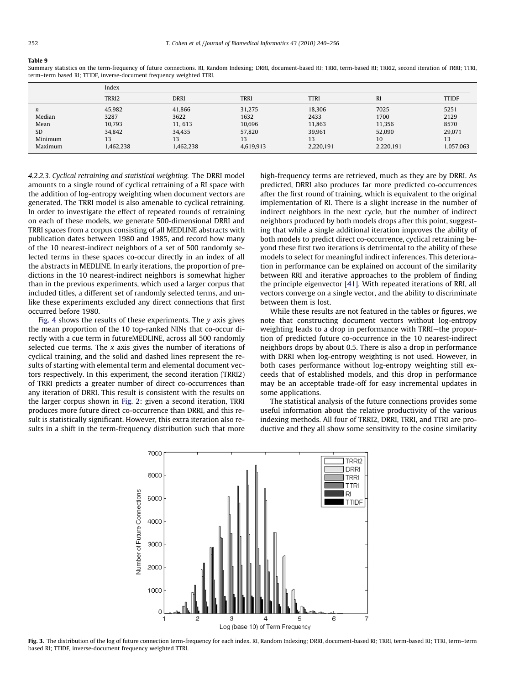<span id="page-12-0"></span>Summary statistics on the term-frequency of future connections. RI, Random Indexing; DRRI, document-based RI; TRRI, term-based RI; TRRI2, second iteration of TRRI; TTRI, term–term based RI; TTIDF, inverse-document frequency weighted TTRI.

|           | Index     |             |             |             |                |              |
|-----------|-----------|-------------|-------------|-------------|----------------|--------------|
|           | TRRI2     | <b>DRRI</b> | <b>TRRI</b> | <b>TTRI</b> | R <sub>I</sub> | <b>TTIDF</b> |
| n         | 45.982    | 41,866      | 31,275      | 18,306      | 7025           | 5251         |
| Median    | 3287      | 3622        | 1632        | 2433        | 1700           | 2129         |
| Mean      | 10.793    | 11, 613     | 10.696      | 11.863      | 11.356         | 8570         |
| <b>SD</b> | 34.842    | 34,435      | 57,820      | 39.961      | 52,090         | 29,071       |
| Minimum   | 13        | 13          | 13          | 13          | 10             | 13           |
| Maximum   | 1,462,238 | 1,462,238   | 4,619,913   | 2,220,191   | 2,220,191      | 1,057,063    |

4.2.2.3. Cyclical retraining and statistical weighting. The DRRI model amounts to a single round of cyclical retraining of a RI space with the addition of log-entropy weighting when document vectors are generated. The TRRI model is also amenable to cyclical retraining. In order to investigate the effect of repeated rounds of retraining on each of these models, we generate 500-dimensional DRRI and TRRI spaces from a corpus consisting of all MEDLINE abstracts with publication dates between 1980 and 1985, and record how many of the 10 nearest-indirect neighbors of a set of 500 randomly selected terms in these spaces co-occur directly in an index of all the abstracts in MEDLINE. In early iterations, the proportion of predictions in the 10 nearest-indirect neighbors is somewhat higher than in the previous experiments, which used a larger corpus that included titles, a different set of randomly selected terms, and unlike these experiments excluded any direct connections that first occurred before 1980.

[Fig. 4](#page-13-0) shows the results of these experiments. The  $y$  axis gives the mean proportion of the 10 top-ranked NINs that co-occur directly with a cue term in futureMEDLINE, across all 500 randomly selected cue terms. The  $x$  axis gives the number of iterations of cyclical training, and the solid and dashed lines represent the results of starting with elemental term and elemental document vectors respectively. In this experiment, the second iteration (TRRI2) of TRRI predicts a greater number of direct co-occurrences than any iteration of DRRI. This result is consistent with the results on the larger corpus shown in [Fig. 2](#page-11-0): given a second iteration, TRRI produces more future direct co-occurrence than DRRI, and this result is statistically significant. However, this extra iteration also results in a shift in the term-frequency distribution such that more

high-frequency terms are retrieved, much as they are by DRRI. As predicted, DRRI also produces far more predicted co-occurrences after the first round of training, which is equivalent to the original implementation of RI. There is a slight increase in the number of indirect neighbors in the next cycle, but the number of indirect neighbors produced by both models drops after this point, suggesting that while a single additional iteration improves the ability of both models to predict direct co-occurrence, cyclical retraining beyond these first two iterations is detrimental to the ability of these models to select for meaningful indirect inferences. This deterioration in performance can be explained on account of the similarity between RRI and iterative approaches to the problem of finding the principle eigenvector [\[41\]](#page-16-0). With repeated iterations of RRI, all vectors converge on a single vector, and the ability to discriminate between them is lost.

While these results are not featured in the tables or figures, we note that constructing document vectors without log-entropy weighting leads to a drop in performance with TRRI—the proportion of predicted future co-occurrence in the 10 nearest-indirect neighbors drops by about 0.5. There is also a drop in performance with DRRI when log-entropy weighting is not used. However, in both cases performance without log-entropy weighting still exceeds that of established models, and this drop in performance may be an acceptable trade-off for easy incremental updates in some applications.

The statistical analysis of the future connections provides some useful information about the relative productivity of the various indexing methods. All four of TRRI2, DRRI, TRRI, and TTRI are productive and they all show some sensitivity to the cosine similarity



Fig. 3. The distribution of the log of future connection term-frequency for each index. RI, Random Indexing; DRRI, document-based RI; TRRI, term-based RI; TTRI, term-term based RI; TTIDF, inverse-document frequency weighted TTRI.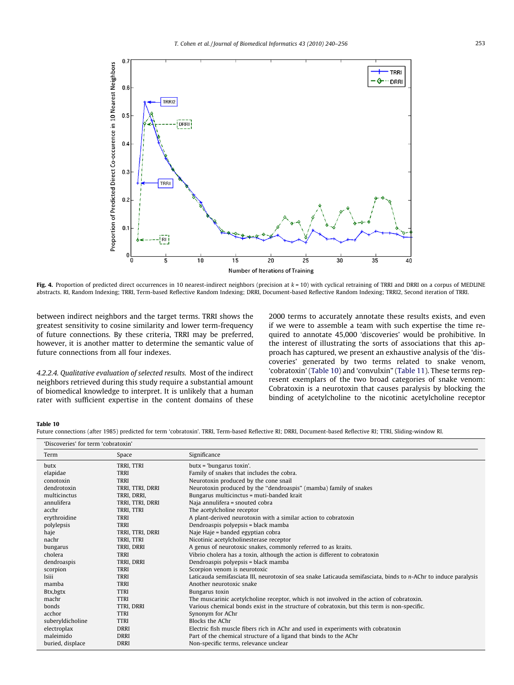<span id="page-13-0"></span>

Fig. 4. Proportion of predicted direct occurrences in 10 nearest-indirect neighbors (precision at  $k = 10$ ) with cyclical retraining of TRRI and DRRI on a corpus of MEDLINE abstracts. RI, Random Indexing; TRRI, Term-based Reflective Random Indexing; DRRI, Document-based Reflective Random Indexing; TRRI2, Second iteration of TRRI.

between indirect neighbors and the target terms. TRRI shows the greatest sensitivity to cosine similarity and lower term-frequency of future connections. By these criteria, TRRI may be preferred, however, it is another matter to determine the semantic value of future connections from all four indexes.

4.2.2.4. Qualitative evaluation of selected results. Most of the indirect neighbors retrieved during this study require a substantial amount of biomedical knowledge to interpret. It is unlikely that a human rater with sufficient expertise in the content domains of these 2000 terms to accurately annotate these results exists, and even if we were to assemble a team with such expertise the time required to annotate 45,000 'discoveries' would be prohibitive. In the interest of illustrating the sorts of associations that this approach has captured, we present an exhaustive analysis of the 'discoveries' generated by two terms related to snake venom, 'cobratoxin' (Table 10) and 'convulxin" ([Table 11\)](#page-14-0). These terms represent exemplars of the two broad categories of snake venom: Cobratoxin is a neurotoxin that causes paralysis by blocking the binding of acetylcholine to the nicotinic acetylcholine receptor

#### Table 10

Future connections (after 1985) predicted for term 'cobratoxin'. TRRI, Term-based Reflective RI; DRRI, Document-based Reflective RI; TTRI, Sliding-window RI.

| 'Discoveries' for term 'cobratoxin' |                  |                  |                                                                                                                 |
|-------------------------------------|------------------|------------------|-----------------------------------------------------------------------------------------------------------------|
|                                     | Term             | Space            | Significance                                                                                                    |
|                                     | butx             | TRRI, TTRI       | butx = 'bungarus toxin'.                                                                                        |
|                                     | elapidae         | <b>TRRI</b>      | Family of snakes that includes the cobra.                                                                       |
|                                     | conotoxin        | <b>TRRI</b>      | Neurotoxin produced by the cone snail                                                                           |
|                                     | dendrotoxin      | TRRI, TTRI, DRRI | Neurotoxin produced by the "dendroaspis" (mamba) family of snakes                                               |
|                                     | multicinctus     | TRRI, DRRI,      | Bungarus multicinctus = muti-banded krait                                                                       |
|                                     | annulifera       | TRRI, TTRI, DRRI | Naja annulifera = snouted cobra                                                                                 |
|                                     | acchr            | TRRI, TTRI       | The acetylcholine receptor                                                                                      |
|                                     | erythroidine     | <b>TRRI</b>      | A plant-derived neurotoxin with a similar action to cobratoxin                                                  |
|                                     | polylepsis       | <b>TRRI</b>      | Dendroaspis polyepsis = black mamba                                                                             |
|                                     | haje             | TRRI, TTRI, DRRI | Naje Haje = banded egyptian cobra                                                                               |
|                                     | nachr            | TRRI, TTRI       | Nicotinic acetylcholinesterase receptor                                                                         |
|                                     | bungarus         | TRRI, DRRI       | A genus of neurotoxic snakes, commonly referred to as kraits.                                                   |
|                                     | cholera          | <b>TRRI</b>      | Vibrio cholera has a toxin, although the action is different to cobratoxin                                      |
|                                     | dendroaspis      | TRRI, DRRI       | Dendroaspis polyepsis = black mamba                                                                             |
|                                     | scorpion         | <b>TRRI</b>      | Scorpion venom is neurotoxic                                                                                    |
|                                     | <b>Isiii</b>     | <b>TRRI</b>      | Laticauda semifasciata III, neurotoxin of sea snake Laticauda semifasciata, binds to n-AChr to induce paralysis |
|                                     | mamba            | <b>TRRI</b>      | Another neurotoxic snake                                                                                        |
|                                     | Btx, bgtx        | <b>TTRI</b>      | Bungarus toxin                                                                                                  |
|                                     | machr            | <b>TTRI</b>      | The muscarinic acetylcholine receptor, which is not involved in the action of cobratoxin.                       |
|                                     | bonds            | TTRI, DRRI       | Various chemical bonds exist in the structure of cobratoxin, but this term is non-specific.                     |
|                                     | acchor           | <b>TTRI</b>      | Synonym for AChr                                                                                                |
|                                     | suberyldicholine | <b>TTRI</b>      | Blocks the AChr                                                                                                 |
|                                     | electroplax      | <b>DRRI</b>      | Electric fish muscle fibers rich in AChr and used in experiments with cobratoxin                                |
|                                     | maleimido        | <b>DRRI</b>      | Part of the chemical structure of a ligand that binds to the AChr                                               |
|                                     | buried, displace | <b>DRRI</b>      | Non-specific terms, relevance unclear                                                                           |
|                                     |                  |                  |                                                                                                                 |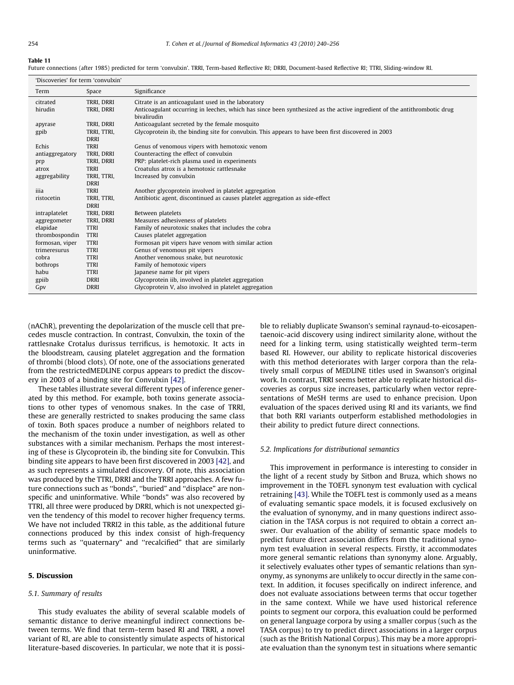<span id="page-14-0"></span>Future connections (after 1985) predicted for term 'convulxin'. TRRI, Term-based Reflective RI; DRRI, Document-based Reflective RI; TTRI, Sliding-window RI.

|  |  | 'Discoveries' for term 'convulxin' |
|--|--|------------------------------------|
|  |  |                                    |

| DISCOVERIES TOT term convuiant    |                           |                                                                                                                          |
|-----------------------------------|---------------------------|--------------------------------------------------------------------------------------------------------------------------|
| Term                              | Space                     | Significance                                                                                                             |
| citrated                          | TRRI, DRRI                | Citrate is an anticoagulant used in the laboratory                                                                       |
| hirudin                           | TRRI, DRRI                | Anticoagulant occurring in leeches, which has since been synthesized as the active ingredient of the antithrombotic drug |
|                                   |                           | bivalirudin                                                                                                              |
| apyrase                           | TRRI, DRRI                | Anticoagulant secreted by the female mosquito                                                                            |
| gpib                              | TRRI, TTRI,               | Glycoprotein ib, the binding site for convulxin. This appears to have been first discovered in 2003                      |
|                                   | <b>DRRI</b>               |                                                                                                                          |
| Echis                             | <b>TRRI</b>               | Genus of venomous vipers with hemotoxic venom                                                                            |
| antiaggregatory                   | TRRI, DRRI                | Counteracting the effect of convulxin                                                                                    |
| prp                               | TRRI, DRRI                | PRP: platelet-rich plasma used in experiments                                                                            |
| atrox                             | <b>TRRI</b>               | Croatulus atrox is a hemotoxic rattlesnake                                                                               |
| aggregability                     | TRRI, TTRI,               | Increased by convulxin                                                                                                   |
|                                   | <b>DRRI</b>               |                                                                                                                          |
| iiia                              | <b>TRRI</b>               | Another glycoprotein involved in platelet aggregation                                                                    |
| ristocetin                        | TRRI, TTRI,               | Antibiotic agent, discontinued as causes platelet aggregation as side-effect                                             |
|                                   | <b>DRRI</b>               |                                                                                                                          |
| intraplatelet                     | TRRI, DRRI                | Between platelets                                                                                                        |
| aggregometer                      | TRRI, DRRI<br><b>TTRI</b> | Measures adhesiveness of platelets                                                                                       |
| elapidae                          | <b>TTRI</b>               | Family of neurotoxic snakes that includes the cobra                                                                      |
| thrombospondin<br>formosan, viper | <b>TTRI</b>               | Causes platelet aggregation<br>Formosan pit vipers have venom with similar action                                        |
| trimeresurus                      | <b>TTRI</b>               | Genus of venomous pit vipers                                                                                             |
| cobra                             | <b>TTRI</b>               | Another venomous snake, but neurotoxic                                                                                   |
| bothrops                          | <b>TTRI</b>               | Family of hemotoxic vipers                                                                                               |
| habu                              | <b>TTRI</b>               | Japanese name for pit vipers                                                                                             |
| gpiib                             | <b>DRRI</b>               | Glycoprotein iib, involved in platelet aggregation                                                                       |
| Gpv                               | <b>DRRI</b>               | Glycoprotein V, also involved in platelet aggregation                                                                    |
|                                   |                           |                                                                                                                          |

(nAChR), preventing the depolarization of the muscle cell that precedes muscle contraction. In contrast, Convulxin, the toxin of the rattlesnake Crotalus durissus terrificus, is hemotoxic. It acts in the bloodstream, causing platelet aggregation and the formation of thrombi (blood clots). Of note, one of the associations generated from the restrictedMEDLINE corpus appears to predict the discovery in 2003 of a binding site for Convulxin [\[42\]](#page-16-0).

These tables illustrate several different types of inference generated by this method. For example, both toxins generate associations to other types of venomous snakes. In the case of TRRI, these are generally restricted to snakes producing the same class of toxin. Both spaces produce a number of neighbors related to the mechanism of the toxin under investigation, as well as other substances with a similar mechanism. Perhaps the most interesting of these is Glycoprotein ib, the binding site for Convulxin. This binding site appears to have been first discovered in 2003 [\[42\],](#page-16-0) and as such represents a simulated discovery. Of note, this association was produced by the TTRI, DRRI and the TRRI approaches. A few future connections such as ''bonds", ''buried" and ''displace" are nonspecific and uninformative. While ''bonds" was also recovered by TTRI, all three were produced by DRRI, which is not unexpected given the tendency of this model to recover higher frequency terms. We have not included TRRI2 in this table, as the additional future connections produced by this index consist of high-frequency terms such as ''quaternary" and ''recalcified" that are similarly uninformative.

## 5. Discussion

#### 5.1. Summary of results

This study evaluates the ability of several scalable models of semantic distance to derive meaningful indirect connections between terms. We find that term–term based RI and TRRI, a novel variant of RI, are able to consistently simulate aspects of historical literature-based discoveries. In particular, we note that it is possible to reliably duplicate Swanson's seminal raynaud-to-eicosapentaenoic-acid discovery using indirect similarity alone, without the need for a linking term, using statistically weighted term–term based RI. However, our ability to replicate historical discoveries with this method deteriorates with larger corpora than the relatively small corpus of MEDLINE titles used in Swanson's original work. In contrast, TRRI seems better able to replicate historical discoveries as corpus size increases, particularly when vector representations of MeSH terms are used to enhance precision. Upon evaluation of the spaces derived using RI and its variants, we find that both RRI variants outperform established methodologies in their ability to predict future direct connections.

#### 5.2. Implications for distributional semantics

This improvement in performance is interesting to consider in the light of a recent study by Sitbon and Bruza, which shows no improvement in the TOEFL synonym test evaluation with cyclical retraining [\[43\].](#page-16-0) While the TOEFL test is commonly used as a means of evaluating semantic space models, it is focused exclusively on the evaluation of synonymy, and in many questions indirect association in the TASA corpus is not required to obtain a correct answer. Our evaluation of the ability of semantic space models to predict future direct association differs from the traditional synonym test evaluation in several respects. Firstly, it accommodates more general semantic relations than synonymy alone. Arguably, it selectively evaluates other types of semantic relations than synonymy, as synonyms are unlikely to occur directly in the same context. In addition, it focuses specifically on indirect inference, and does not evaluate associations between terms that occur together in the same context. While we have used historical reference points to segment our corpora, this evaluation could be performed on general language corpora by using a smaller corpus (such as the TASA corpus) to try to predict direct associations in a larger corpus (such as the British National Corpus). This may be a more appropriate evaluation than the synonym test in situations where semantic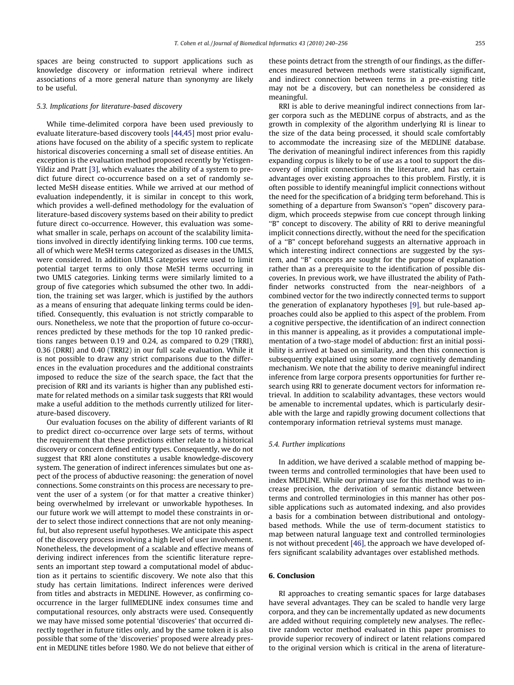spaces are being constructed to support applications such as knowledge discovery or information retrieval where indirect associations of a more general nature than synonymy are likely to be useful.

#### 5.3. Implications for literature-based discovery

While time-delimited corpora have been used previously to evaluate literature-based discovery tools [\[44,45\]](#page-16-0) most prior evaluations have focused on the ability of a specific system to replicate historical discoveries concerning a small set of disease entities. An exception is the evaluation method proposed recently by Yetisgen-Yildiz and Pratt [\[3\],](#page-16-0) which evaluates the ability of a system to predict future direct co-occurrence based on a set of randomly selected MeSH disease entities. While we arrived at our method of evaluation independently, it is similar in concept to this work, which provides a well-defined methodology for the evaluation of literature-based discovery systems based on their ability to predict future direct co-occurrence. However, this evaluation was somewhat smaller in scale, perhaps on account of the scalability limitations involved in directly identifying linking terms. 100 cue terms, all of which were MeSH terms categorized as diseases in the UMLS, were considered. In addition UMLS categories were used to limit potential target terms to only those MeSH terms occurring in two UMLS categories. Linking terms were similarly limited to a group of five categories which subsumed the other two. In addition, the training set was larger, which is justified by the authors as a means of ensuring that adequate linking terms could be identified. Consequently, this evaluation is not strictly comparable to ours. Nonetheless, we note that the proportion of future co-occurrences predicted by these methods for the top 10 ranked predictions ranges between 0.19 and 0.24, as compared to 0.29 (TRRI), 0.36 (DRRI) and 0.40 (TRRI2) in our full scale evaluation. While it is not possible to draw any strict comparisons due to the differences in the evaluation procedures and the additional constraints imposed to reduce the size of the search space, the fact that the precision of RRI and its variants is higher than any published estimate for related methods on a similar task suggests that RRI would make a useful addition to the methods currently utilized for literature-based discovery.

Our evaluation focuses on the ability of different variants of RI to predict direct co-occurrence over large sets of terms, without the requirement that these predictions either relate to a historical discovery or concern defined entity types. Consequently, we do not suggest that RRI alone constitutes a usable knowledge-discovery system. The generation of indirect inferences simulates but one aspect of the process of abductive reasoning: the generation of novel connections. Some constraints on this process are necessary to prevent the user of a system (or for that matter a creative thinker) being overwhelmed by irrelevant or unworkable hypotheses. In our future work we will attempt to model these constraints in order to select those indirect connections that are not only meaningful, but also represent useful hypotheses. We anticipate this aspect of the discovery process involving a high level of user involvement. Nonetheless, the development of a scalable and effective means of deriving indirect inferences from the scientific literature represents an important step toward a computational model of abduction as it pertains to scientific discovery. We note also that this study has certain limitations. Indirect inferences were derived from titles and abstracts in MEDLINE. However, as confirming cooccurrence in the larger fullMEDLINE index consumes time and computational resources, only abstracts were used. Consequently we may have missed some potential 'discoveries' that occurred directly together in future titles only, and by the same token it is also possible that some of the 'discoveries' proposed were already present in MEDLINE titles before 1980. We do not believe that either of these points detract from the strength of our findings, as the differences measured between methods were statistically significant, and indirect connection between terms in a pre-existing title may not be a discovery, but can nonetheless be considered as meaningful.

RRI is able to derive meaningful indirect connections from larger corpora such as the MEDLINE corpus of abstracts, and as the growth in complexity of the algorithm underlying RI is linear to the size of the data being processed, it should scale comfortably to accommodate the increasing size of the MEDLINE database. The derivation of meaningful indirect inferences from this rapidly expanding corpus is likely to be of use as a tool to support the discovery of implicit connections in the literature, and has certain advantages over existing approaches to this problem. Firstly, it is often possible to identify meaningful implicit connections without the need for the specification of a bridging term beforehand. This is something of a departure from Swanson's ''open" discovery paradigm, which proceeds stepwise from cue concept through linking ''B" concept to discovery. The ability of RRI to derive meaningful implicit connections directly, without the need for the specification of a ''B" concept beforehand suggests an alternative approach in which interesting indirect connections are suggested by the system, and ''B" concepts are sought for the purpose of explanation rather than as a prerequisite to the identification of possible discoveries. In previous work, we have illustrated the ability of Pathfinder networks constructed from the near-neighbors of a combined vector for the two indirectly connected terms to support the generation of explanatory hypotheses [\[9\],](#page-16-0) but rule-based approaches could also be applied to this aspect of the problem. From a cognitive perspective, the identification of an indirect connection in this manner is appealing, as it provides a computational implementation of a two-stage model of abduction: first an initial possibility is arrived at based on similarity, and then this connection is subsequently explained using some more cognitively demanding mechanism. We note that the ability to derive meaningful indirect inference from large corpora presents opportunities for further research using RRI to generate document vectors for information retrieval. In addition to scalability advantages, these vectors would be amenable to incremental updates, which is particularly desirable with the large and rapidly growing document collections that contemporary information retrieval systems must manage.

#### 5.4. Further implications

In addition, we have derived a scalable method of mapping between terms and controlled terminologies that have been used to index MEDLINE. While our primary use for this method was to increase precision, the derivation of semantic distance between terms and controlled terminologies in this manner has other possible applications such as automated indexing, and also provides a basis for a combination between distributional and ontologybased methods. While the use of term-document statistics to map between natural language text and controlled terminologies is not without precedent [\[46\]](#page-16-0), the approach we have developed offers significant scalability advantages over established methods.

# 6. Conclusion

RI approaches to creating semantic spaces for large databases have several advantages. They can be scaled to handle very large corpora, and they can be incrementally updated as new documents are added without requiring completely new analyses. The reflective random vector method evaluated in this paper promises to provide superior recovery of indirect or latent relations compared to the original version which is critical in the arena of literature